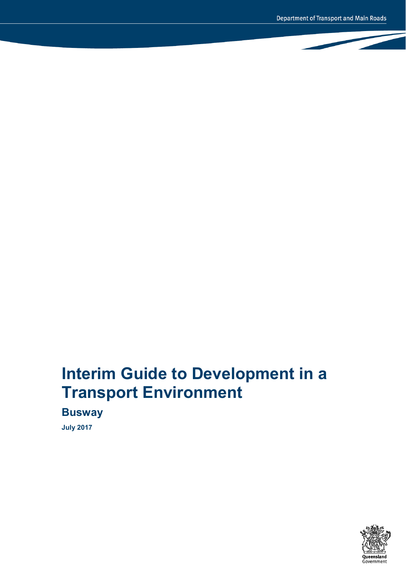# **Interim Guide to Development in a Transport Environment**

**Busway**

**July 2017**

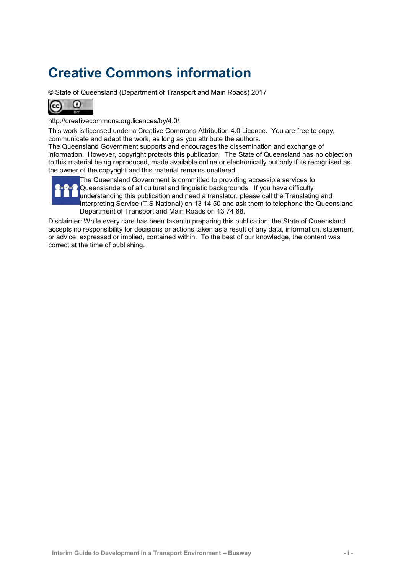# **Creative Commons information**

© State of Queensland (Department of Transport and Main Roads) 2017



<http://creativecommons.org.licences/by/4.0/>

This work is licensed under a Creative Commons Attribution 4.0 Licence. You are free to copy, communicate and adapt the work, as long as you attribute the authors.

The Queensland Government supports and encourages the dissemination and exchange of information. However, copyright protects this publication. The State of Queensland has no objection to this material being reproduced, made available online or electronically but only if its recognised as the owner of the copyright and this material remains unaltered.



The Queensland Government is committed to providing accessible services to Queenslanders of all cultural and linguistic backgrounds. If you have difficulty understanding this publication and need a translator, please call the Translating and Interpreting Service (TIS National) on 13 14 50 and ask them to telephone the Queensland Department of Transport and Main Roads on 13 74 68.

Disclaimer: While every care has been taken in preparing this publication, the State of Queensland accepts no responsibility for decisions or actions taken as a result of any data, information, statement or advice, expressed or implied, contained within. To the best of our knowledge, the content was correct at the time of publishing.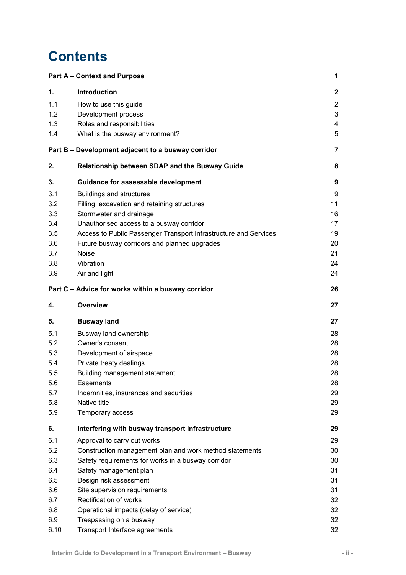## **Contents**

|      | <b>Part A - Context and Purpose</b>                              | 1              |
|------|------------------------------------------------------------------|----------------|
| 1.   | <b>Introduction</b>                                              | $\mathbf{2}$   |
| 1.1  | How to use this guide                                            | $\overline{2}$ |
| 1.2  | Development process                                              | 3              |
| 1.3  | Roles and responsibilities                                       | 4              |
| 1.4  | What is the busway environment?                                  | 5              |
|      | Part B - Development adjacent to a busway corridor               | 7              |
| 2.   | Relationship between SDAP and the Busway Guide                   | 8              |
| 3.   | Guidance for assessable development                              | 9              |
| 3.1  | <b>Buildings and structures</b>                                  | 9              |
| 3.2  | Filling, excavation and retaining structures                     | 11             |
| 3.3  | Stormwater and drainage                                          | 16             |
| 3.4  | Unauthorised access to a busway corridor                         | 17             |
| 3.5  | Access to Public Passenger Transport Infrastructure and Services | 19             |
| 3.6  | Future busway corridors and planned upgrades                     | 20             |
| 3.7  | <b>Noise</b>                                                     | 21             |
| 3.8  | Vibration                                                        | 24             |
| 3.9  | Air and light                                                    | 24             |
|      | Part C - Advice for works within a busway corridor               | 26             |
| 4.   | Overview                                                         | 27             |
| 5.   | <b>Busway land</b>                                               | 27             |
| 5.1  | Busway land ownership                                            | 28             |
| 5.2  | Owner's consent                                                  | 28             |
| 5.3  | Development of airspace                                          | 28             |
| 5.4  | Private treaty dealings                                          | 28             |
| 5.5  | Building management statement                                    | 28             |
| 5.6  | Easements                                                        | 28             |
| 5.7  | Indemnities, insurances and securities                           | 29             |
| 5.8  | Native title                                                     | 29             |
| 5.9  | Temporary access                                                 | 29             |
| 6.   | Interfering with busway transport infrastructure                 | 29             |
| 6.1  | Approval to carry out works                                      | 29             |
| 6.2  | Construction management plan and work method statements          | 30             |
| 6.3  | Safety requirements for works in a busway corridor               | 30             |
| 6.4  | Safety management plan                                           | 31             |
| 6.5  | Design risk assessment                                           | 31             |
| 6.6  | Site supervision requirements                                    | 31             |
| 6.7  | Rectification of works                                           | 32             |
| 6.8  | Operational impacts (delay of service)                           | 32             |
| 6.9  | Trespassing on a busway                                          | 32             |
| 6.10 | Transport Interface agreements                                   | 32             |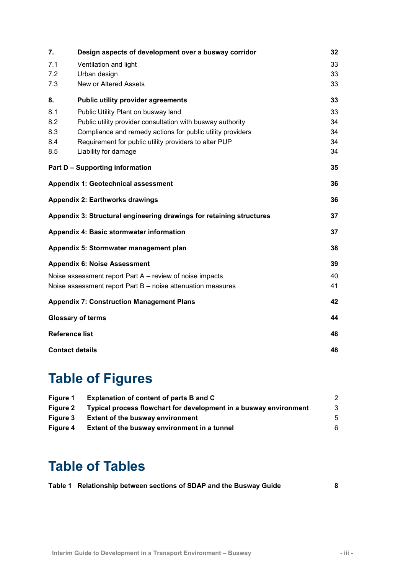| 7.                                                       | Design aspects of development over a busway corridor                 | 32 |  |  |
|----------------------------------------------------------|----------------------------------------------------------------------|----|--|--|
| 7.1                                                      | Ventilation and light                                                |    |  |  |
| 7.2                                                      | Urban design                                                         |    |  |  |
| 7.3                                                      | New or Altered Assets                                                | 33 |  |  |
| 8.                                                       | <b>Public utility provider agreements</b>                            | 33 |  |  |
| 8.1                                                      | Public Utility Plant on busway land                                  | 33 |  |  |
| 8.2                                                      | Public utility provider consultation with busway authority           | 34 |  |  |
| 8.3                                                      | Compliance and remedy actions for public utility providers           |    |  |  |
| 8.4                                                      | Requirement for public utility providers to alter PUP                | 34 |  |  |
| 8.5                                                      | Liability for damage                                                 | 34 |  |  |
|                                                          | <b>Part D - Supporting information</b>                               | 35 |  |  |
|                                                          | Appendix 1: Geotechnical assessment                                  | 36 |  |  |
|                                                          | <b>Appendix 2: Earthworks drawings</b>                               | 36 |  |  |
|                                                          | Appendix 3: Structural engineering drawings for retaining structures | 37 |  |  |
|                                                          | Appendix 4: Basic stormwater information                             | 37 |  |  |
|                                                          | Appendix 5: Stormwater management plan                               | 38 |  |  |
|                                                          | <b>Appendix 6: Noise Assessment</b>                                  | 39 |  |  |
| Noise assessment report Part A – review of noise impacts |                                                                      | 40 |  |  |
|                                                          | Noise assessment report Part B - noise attenuation measures          | 41 |  |  |
|                                                          | <b>Appendix 7: Construction Management Plans</b>                     | 42 |  |  |
|                                                          | <b>Glossary of terms</b>                                             | 44 |  |  |
| <b>Reference list</b>                                    |                                                                      | 48 |  |  |
| <b>Contact details</b>                                   |                                                                      |    |  |  |

# **Table of Figures**

| Figure 1        | Explanation of content of parts B and C                           | 2  |
|-----------------|-------------------------------------------------------------------|----|
| Figure 2        | Typical process flowchart for development in a busway environment | -3 |
| <b>Figure 3</b> | <b>Extent of the busway environment</b>                           | 5  |
| Figure 4        | Extent of the busway environment in a tunnel                      | 6  |

## **Table of Tables**

|  | Table 1 Relationship between sections of SDAP and the Busway Guide |  |
|--|--------------------------------------------------------------------|--|
|--|--------------------------------------------------------------------|--|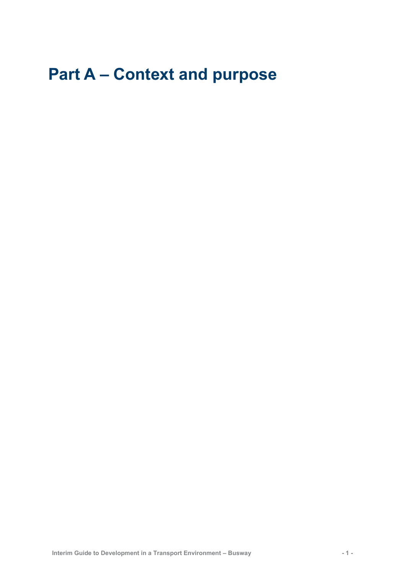# <span id="page-4-0"></span>**Part A – Context and purpose**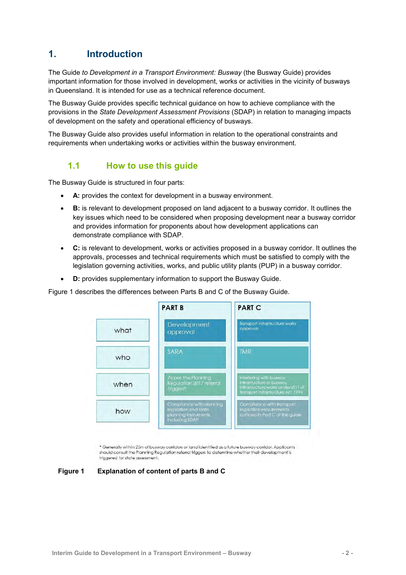## <span id="page-5-0"></span>**1. Introduction**

The Guide *to Development in a Transport Environment: Busway* (the Busway Guide) provides important information for those involved in development, works or activities in the vicinity of busways in Queensland. It is intended for use as a technical reference document.

The Busway Guide provides specific technical guidance on how to achieve compliance with the provisions in the *State Development Assessment Provisions* (SDAP) in relation to managing impacts of development on the safety and operational efficiency of busways.

<span id="page-5-1"></span>The Busway Guide also provides useful information in relation to the operational constraints and requirements when undertaking works or activities within the busway environment.

### **1.1 How to use this guide**

The Busway Guide is structured in four parts:

- **A:** provides the context for development in a busway environment.
- **B:** is relevant to development proposed on land adjacent to a busway corridor*.* It outlines the key issues which need to be considered when proposing development near a busway corridor and provides information for proponents about how development applications can demonstrate compliance with SDAP.
- **C:** is relevant to development, works or activities proposed in a busway corridor. It outlines the approvals, processes and technical requirements which must be satisfied to comply with the legislation governing activities, works, and public utility plants (PUP) in a busway corridor.
- **D:** provides supplementary information to support the Busway Guide.

Figure 1 describes the differences between Parts B and C of the Busway Guide.



\* Generally within 25m of busway corridors or land identified as a future busway corridor. Applicants should consult the Planning Regulation referral triggers to determine whether their development is triggered for state assessment.

<span id="page-5-2"></span>**Figure 1 Explanation of content of parts B and C**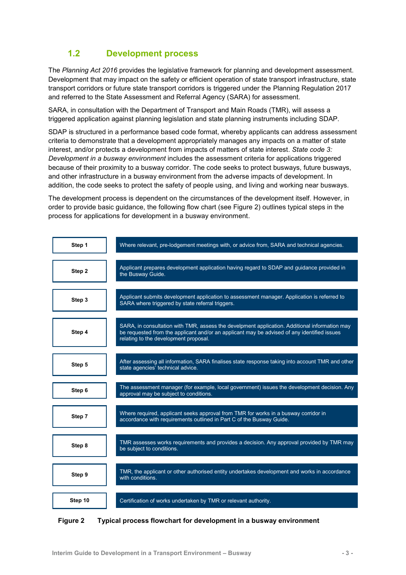## **1.2 Development process**

<span id="page-6-0"></span>The *Planning Act 2016* provides the legislative framework for planning and development assessment. Development that may impact on the safety or efficient operation of state transport infrastructure, state transport corridors or future state transport corridors is triggered under the Planning Regulation 2017 and referred to the State Assessment and Referral Agency (SARA) for assessment.

SARA, in consultation with the Department of Transport and Main Roads (TMR), will assess a triggered application against planning legislation and state planning instruments including SDAP.

SDAP is structured in a performance based code format, whereby applicants can address assessment criteria to demonstrate that a development appropriately manages any impacts on a matter of state interest, and/or protects a development from impacts of matters of state interest. *State code 3: Development in a busway environment* includes the assessment criteria for applications triggered because of their proximity to a busway corridor. The code seeks to protect busways, future busways, and other infrastructure in a busway environment from the adverse impacts of development. In addition, the code seeks to protect the safety of people using, and living and working near busways.

The development process is dependent on the circumstances of the development itself. However, in order to provide basic guidance, the following flow chart (see Figure 2) outlines typical steps in the process for applications for development in a busway environment.



<span id="page-6-1"></span>**Figure 2 Typical process flowchart for development in a busway environment**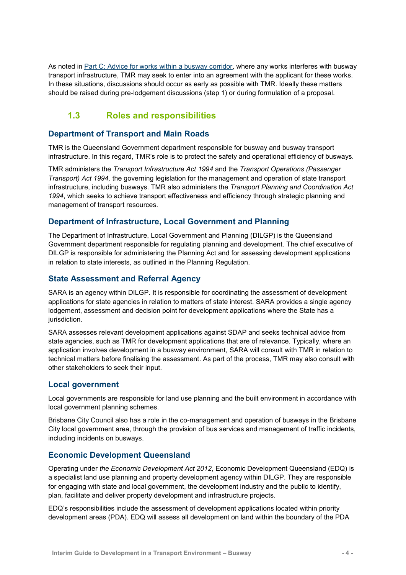As noted in [Part C: Advice for works within a busway corridor,](#page-29-0) where any works interferes with busway transport infrastructure, TMR may seek to enter into an agreement with the applicant for these works. In these situations, discussions should occur as early as possible with TMR. Ideally these matters should be raised during pre-lodgement discussions (step 1) or during formulation of a proposal.

## <span id="page-7-0"></span>**1.3 Roles and responsibilities**

#### **Department of Transport and Main Roads**

TMR is the Queensland Government department responsible for busway and busway transport infrastructure. In this regard, TMR's role is to protect the safety and operational efficiency of busways.

TMR administers the *Transport Infrastructure Act 1994* and the *Transport Operations (Passenger Transport) Act 1994,* the governing legislation for the management and operation of state transport infrastructure, including busways. TMR also administers the *Transport Planning and Coordination Act 1994*, which seeks to achieve transport effectiveness and efficiency through strategic planning and management of transport resources.

### **Department of Infrastructure, Local Government and Planning**

The Department of Infrastructure, Local Government and Planning (DILGP) is the Queensland Government department responsible for regulating planning and development. The chief executive of DILGP is responsible for administering the Planning Act and for assessing development applications in relation to state interests, as outlined in the Planning Regulation.

#### **State Assessment and Referral Agency**

SARA is an agency within DILGP. It is responsible for coordinating the assessment of development applications for state agencies in relation to matters of state interest. SARA provides a single agency lodgement, assessment and decision point for development applications where the State has a jurisdiction.

SARA assesses relevant development applications against SDAP and seeks technical advice from state agencies, such as TMR for development applications that are of relevance. Typically, where an application involves development in a busway environment, SARA will consult with TMR in relation to technical matters before finalising the assessment. As part of the process, TMR may also consult with other stakeholders to seek their input.

#### **Local government**

Local governments are responsible for land use planning and the built environment in accordance with local government planning schemes.

Brisbane City Council also has a role in the co-management and operation of busways in the Brisbane City local government area, through the provision of bus services and management of traffic incidents, including incidents on busways.

#### **Economic Development Queensland**

Operating under *the Economic Development Act 2012*, Economic Development Queensland (EDQ) is a specialist land use planning and property development agency within DILGP. They are responsible for engaging with state and local government, the development industry and the public to identify, plan, facilitate and deliver property development and infrastructure projects.

EDQ's responsibilities include the assessment of development applications located within priority development areas (PDA). EDQ will assess all development on land within the boundary of the PDA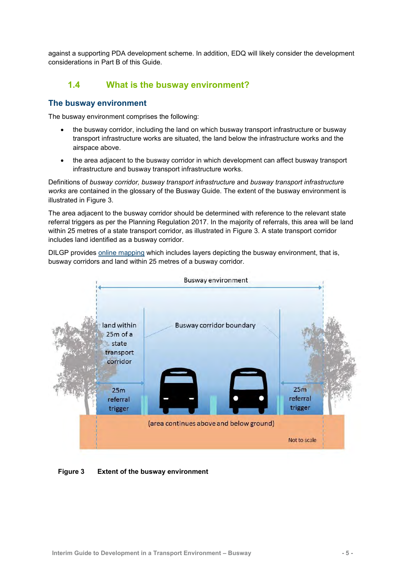<span id="page-8-0"></span>against a supporting PDA development scheme. In addition, EDQ will likely consider the development considerations in Part B of this Guide.

### **1.4 What is the busway environment?**

#### **The busway environment**

The busway environment comprises the following:

- the busway corridor, including the land on which busway transport infrastructure or busway transport infrastructure works are situated, the land below the infrastructure works and the airspace above.
- the area adjacent to the busway corridor in which development can affect busway transport infrastructure and busway transport infrastructure works.

Definitions of *busway corridor, busway transport infrastructure* and *busway transport infrastructure works* are contained in the glossary of the Busway Guide. The extent of the busway environment is illustrated in Figure 3.

The area adjacent to the busway corridor should be determined with reference to the relevant state referral triggers as per the Planning Regulation 2017. In the majority of referrals, this area will be land within 25 metres of a state transport corridor, as illustrated in Figure 3. A state transport corridor includes land identified as a busway corridor.

DILGP provides [online mapping](http://www.dilgp.qld.gov.au/about-planning/da-mapping-system.html) which includes layers depicting the busway environment, that is, busway corridors and land within 25 metres of a busway corridor.



<span id="page-8-1"></span>**Figure 3 Extent of the busway environment**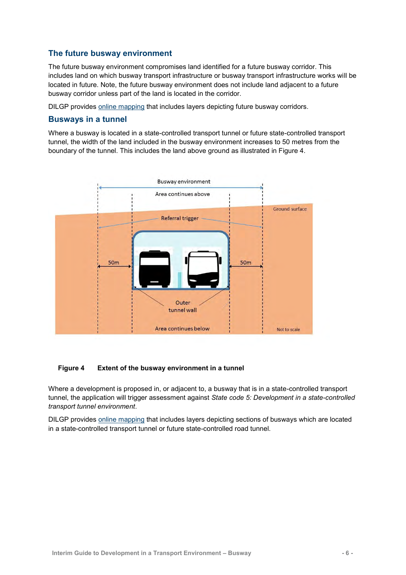#### **The future busway environment**

The future busway environment compromises land identified for a future busway corridor. This includes land on which busway transport infrastructure or busway transport infrastructure works will be located in future. Note, the future busway environment does not include land adjacent to a future busway corridor unless part of the land is located in the corridor.

DILGP provides [online mapping](http://www.dilgp.qld.gov.au/about-planning/da-mapping-system.html) that includes layers depicting future busway corridors.

#### **Busways in a tunnel**

Where a busway is located in a state-controlled transport tunnel or future state-controlled transport tunnel, the width of the land included in the busway environment increases to 50 metres from the boundary of the tunnel. This includes the land above ground as illustrated in Figure 4.



#### <span id="page-9-0"></span>**Figure 4 Extent of the busway environment in a tunnel**

Where a development is proposed in, or adjacent to, a busway that is in a state-controlled transport tunnel, the application will trigger assessment against *State code 5: Development in a state-controlled transport tunnel environment*.

DILGP provides [online mapping](http://www.dilgp.qld.gov.au/about-planning/da-mapping-system.html) that includes layers depicting sections of busways which are located in a state-controlled transport tunnel or future state-controlled road tunnel.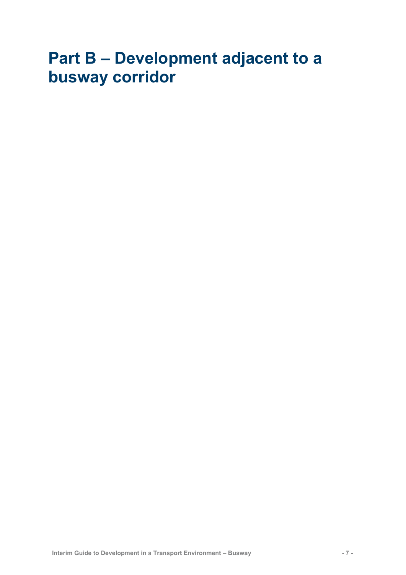# <span id="page-10-0"></span>**Part B – Development adjacent to a busway corridor**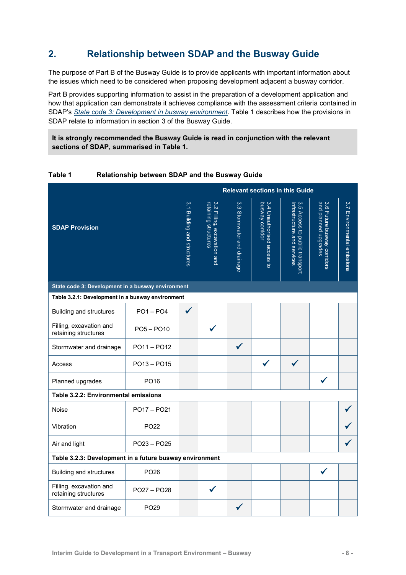## <span id="page-11-0"></span>**2. Relationship between SDAP and the Busway Guide**

The purpose of Part B of the Busway Guide is to provide applicants with important information about the issues which need to be considered when proposing development adjacent a busway corridor.

Part B provides supporting information to assist in the preparation of a development application and how that application can demonstrate it achieves compliance with the assessment criteria contained in SDAP's *[State code 3: Development in busway environment](http://www.dilgp.qld.gov.au/planning/development-assessment/state-development-assessment-provisions.html)*. Table 1 describes how the provisions in SDAP relate to information in section 3 of the Busway Guide.

**It is strongly recommended the Busway Guide is read in conjunction with the relevant sections of SDAP, summarised in Table 1.**

| <b>SDAP Provision</b>                                   |                  | <b>Relevant sections in this Guide</b>          |                                                     |                                |                                                           |                                                                  |                                                     |                             |
|---------------------------------------------------------|------------------|-------------------------------------------------|-----------------------------------------------------|--------------------------------|-----------------------------------------------------------|------------------------------------------------------------------|-----------------------------------------------------|-----------------------------|
|                                                         |                  | $\frac{3}{4}$<br><b>Building and structures</b> | 3.2 Filling, excavation and<br>retaining structures | 3.3<br>Stormwater and drainage | busway corridor<br>3.4 Unauthorised<br>access<br>$\sigma$ | infrastructure and services<br>3.5 Access to<br>public transport | and planned upgrades<br>3.6 Future busway corridors | 3.7 Environmental emissions |
| State code 3: Development in a busway environment       |                  |                                                 |                                                     |                                |                                                           |                                                                  |                                                     |                             |
| Table 3.2.1: Development in a busway environment        |                  |                                                 |                                                     |                                |                                                           |                                                                  |                                                     |                             |
| Building and structures                                 | $PO1 - PO4$      | $\checkmark$                                    |                                                     |                                |                                                           |                                                                  |                                                     |                             |
| Filling, excavation and<br>retaining structures         | $PO5 - PO10$     |                                                 |                                                     |                                |                                                           |                                                                  |                                                     |                             |
| Stormwater and drainage                                 | $PO11 - PO12$    |                                                 |                                                     | $\checkmark$                   |                                                           |                                                                  |                                                     |                             |
| Access                                                  | PO13 - PO15      |                                                 |                                                     |                                | $\checkmark$                                              |                                                                  |                                                     |                             |
| Planned upgrades                                        | PO <sub>16</sub> |                                                 |                                                     |                                |                                                           |                                                                  | ✔                                                   |                             |
| Table 3.2.2: Environmental emissions                    |                  |                                                 |                                                     |                                |                                                           |                                                                  |                                                     |                             |
| Noise                                                   | PO17 - PO21      |                                                 |                                                     |                                |                                                           |                                                                  |                                                     |                             |
| Vibration                                               | PO <sub>22</sub> |                                                 |                                                     |                                |                                                           |                                                                  |                                                     |                             |
| PO23 - PO25<br>Air and light                            |                  |                                                 |                                                     |                                |                                                           |                                                                  |                                                     |                             |
| Table 3.2.3: Development in a future busway environment |                  |                                                 |                                                     |                                |                                                           |                                                                  |                                                     |                             |
| <b>Building and structures</b>                          | PO <sub>26</sub> |                                                 |                                                     |                                |                                                           |                                                                  |                                                     |                             |
| Filling, excavation and<br>retaining structures         | PO27 - PO28      |                                                 |                                                     |                                |                                                           |                                                                  |                                                     |                             |
| Stormwater and drainage                                 | PO <sub>29</sub> |                                                 |                                                     |                                |                                                           |                                                                  |                                                     |                             |

#### <span id="page-11-1"></span>**Table 1 Relationship between SDAP and the Busway Guide**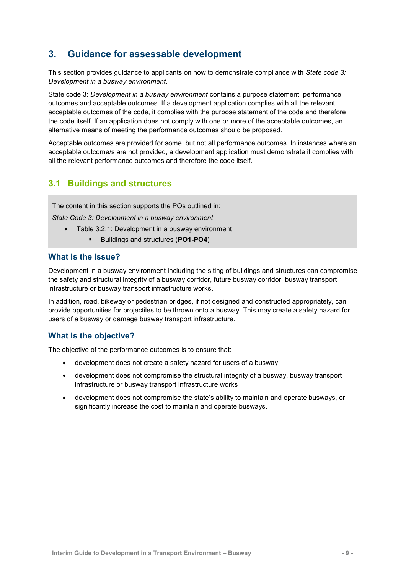## <span id="page-12-0"></span>**3. Guidance for assessable development**

This section provides guidance to applicants on how to demonstrate compliance with *State code 3: Development in a busway environment*.

State code 3: *Development in a busway environment* contains a purpose statement, performance outcomes and acceptable outcomes. If a development application complies with all the relevant acceptable outcomes of the code, it complies with the purpose statement of the code and therefore the code itself. If an application does not comply with one or more of the acceptable outcomes, an alternative means of meeting the performance outcomes should be proposed.

Acceptable outcomes are provided for some, but not all performance outcomes. In instances where an acceptable outcome/s are not provided, a development application must demonstrate it complies with all the relevant performance outcomes and therefore the code itself.

## <span id="page-12-1"></span>**3.1 Buildings and structures**

The content in this section supports the POs outlined in:

*State Code 3: Development in a busway environment*

- Table 3.2.1: Development in a busway environment
	- Buildings and structures (**PO1-PO4**)

#### **What is the issue?**

Development in a busway environment including the siting of buildings and structures can compromise the safety and structural integrity of a busway corridor, future busway corridor, busway transport infrastructure or busway transport infrastructure works.

In addition, road, bikeway or pedestrian bridges, if not designed and constructed appropriately, can provide opportunities for projectiles to be thrown onto a busway. This may create a safety hazard for users of a busway or damage busway transport infrastructure.

#### **What is the objective?**

The objective of the performance outcomes is to ensure that:

- development does not create a safety hazard for users of a busway
- development does not compromise the structural integrity of a busway, busway transport infrastructure or busway transport infrastructure works
- development does not compromise the state's ability to maintain and operate busways, or significantly increase the cost to maintain and operate busways.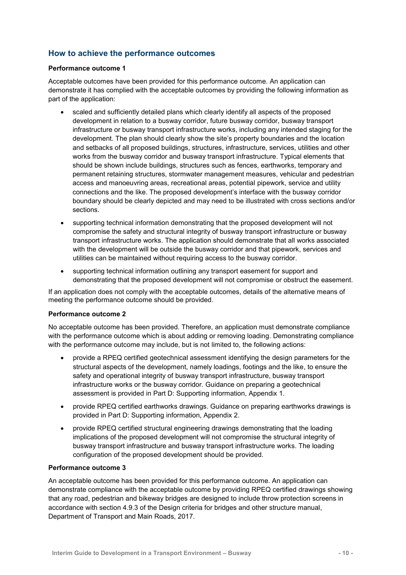### **How to achieve the performance outcomes**

#### **Performance outcome 1**

Acceptable outcomes have been provided for this performance outcome. An application can demonstrate it has complied with the acceptable outcomes by providing the following information as part of the application:

- scaled and sufficiently detailed plans which clearly identify all aspects of the proposed development in relation to a busway corridor, future busway corridor, busway transport infrastructure or busway transport infrastructure works, including any intended staging for the development. The plan should clearly show the site's property boundaries and the location and setbacks of all proposed buildings, structures, infrastructure, services, utilities and other works from the busway corridor and busway transport infrastructure. Typical elements that should be shown include buildings, structures such as fences, earthworks, temporary and permanent retaining structures, stormwater management measures, vehicular and pedestrian access and manoeuvring areas, recreational areas, potential pipework, service and utility connections and the like. The proposed development's interface with the busway corridor boundary should be clearly depicted and may need to be illustrated with cross sections and/or sections.
- supporting technical information demonstrating that the proposed development will not compromise the safety and structural integrity of busway transport infrastructure or busway transport infrastructure works. The application should demonstrate that all works associated with the development will be outside the busway corridor and that pipework, services and utilities can be maintained without requiring access to the busway corridor.
- supporting technical information outlining any transport easement for support and demonstrating that the proposed development will not compromise or obstruct the easement.

If an application does not comply with the acceptable outcomes, details of the alternative means of meeting the performance outcome should be provided.

#### **Performance outcome 2**

No acceptable outcome has been provided. Therefore, an application must demonstrate compliance with the performance outcome which is about adding or removing loading. Demonstrating compliance with the performance outcome may include, but is not limited to, the following actions:

- provide a RPEQ certified geotechnical assessment identifying the design parameters for the structural aspects of the development, namely loadings, footings and the like, to ensure the safety and operational integrity of busway transport infrastructure, busway transport infrastructure works or the busway corridor. Guidance on preparing a geotechnical assessment is provided in Part D: Supporting information, Appendix 1.
- provide RPEQ certified earthworks drawings. Guidance on preparing earthworks drawings is provided in Part D: Supporting information, Appendix 2.
- provide RPEQ certified structural engineering drawings demonstrating that the loading implications of the proposed development will not compromise the structural integrity of busway transport infrastructure and busway transport infrastructure works. The loading configuration of the proposed development should be provided.

#### **Performance outcome 3**

An acceptable outcome has been provided for this performance outcome. An application can demonstrate compliance with the acceptable outcome by providing RPEQ certified drawings showing that any road, pedestrian and bikeway bridges are designed to include throw protection screens in accordance with section 4.9.3 of the [Design criteria for bridges and other structure manual,](https://www.tmr.qld.gov.au/business-industry/Technical-standards-publications/Bridge-design-and-assessment-criteria.aspx) Department of Transport and Main Roads, 2017.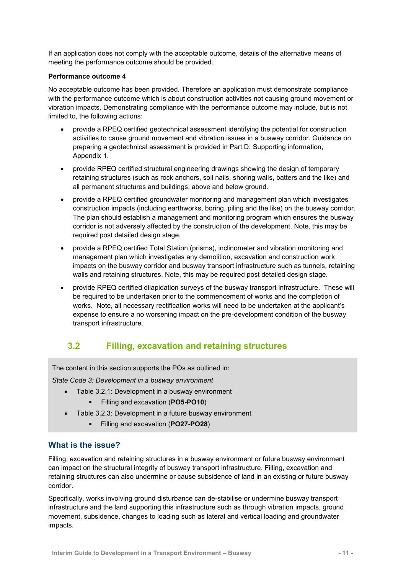If an application does not comply with the acceptable outcome, details of the alternative means of meeting the performance outcome should be provided.

#### **Performance outcome 4**

No acceptable outcome has been provided. Therefore an application must demonstrate compliance with the performance outcome which is about construction activities not causing ground movement or vibration impacts. Demonstrating compliance with the performance outcome may include, but is not limited to, the following actions:

- provide a RPEQ certified geotechnical assessment identifying the potential for construction activities to cause ground movement and vibration issues in a busway corridor. Guidance on preparing a geotechnical assessment is provided in Part D: Supporting information, Appendix 1.
- provide RPEQ certified structural engineering drawings showing the design of temporary retaining structures (such as rock anchors, soil nails, shoring walls, batters and the like) and all permanent structures and buildings, above and below ground.
- provide a RPEQ certified groundwater monitoring and management plan which investigates construction impacts (including earthworks, boring, piling and the like) on the busway corridor. The plan should establish a management and monitoring program which ensures the busway corridor is not adversely affected by the construction of the development. Note, this may be required post detailed design stage.
- provide a RPEQ certified Total Station (prisms), inclinometer and vibration monitoring and management plan which investigates any demolition, excavation and construction work impacts on the busway corridor and busway transport infrastructure such as tunnels, retaining walls and retaining structures. Note, this may be required post detailed design stage.
- provide RPEQ certified dilapidation surveys of the busway transport infrastructure. These will be required to be undertaken prior to the commencement of works and the completion of works. Note, all necessary rectification works will need to be undertaken at the applicant's expense to ensure a no worsening impact on the pre-development condition of the busway transport infrastructure.

## <span id="page-14-0"></span>**3.2 Filling, excavation and retaining structures**

The content in this section supports the POs as outlined in:

*State Code 3: Development in a busway environment*

- Table 3.2.1: Development in a busway environment
	- Filling and excavation (**PO5-PO10**)
- Table 3.2.3: Development in a future busway environment
	- Filling and excavation (**PO27-PO28**)

#### **What is the issue?**

Filling, excavation and retaining structures in a busway environment or future busway environment can impact on the structural integrity of busway transport infrastructure. Filling, excavation and retaining structures can also undermine or cause subsidence of land in an existing or future busway corridor.

Specifically, works involving ground disturbance can de-stabilise or undermine busway transport infrastructure and the land supporting this infrastructure such as through vibration impacts, ground movement, subsidence, changes to loading such as lateral and vertical loading and groundwater impacts.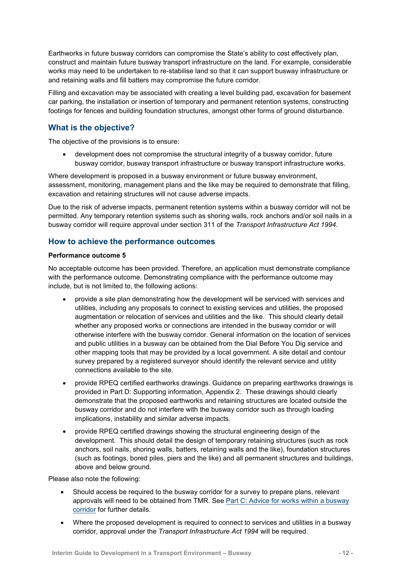Earthworks in future busway corridors can compromise the State's ability to cost effectively plan, construct and maintain future busway transport infrastructure on the land. For example, considerable works may need to be undertaken to re-stabilise land so that it can support busway infrastructure or and retaining walls and fill batters may compromise the future corridor.

Filling and excavation may be associated with creating a level building pad, excavation for basement car parking, the installation or insertion of temporary and permanent retention systems, constructing footings for fences and building foundation structures, amongst other forms of ground disturbance.

#### **What is the objective?**

The objective of the provisions is to ensure:

 development does not compromise the structural integrity of a busway corridor, future busway corridor, busway transport infrastructure or busway transport infrastructure works.

Where development is proposed in a busway environment or future busway environment, assessment, monitoring, management plans and the like may be required to demonstrate that filling, excavation and retaining structures will not cause adverse impacts.

Due to the risk of adverse impacts, permanent retention systems within a busway corridor will not be permitted. Any temporary retention systems such as shoring walls, rock anchors and/or soil nails in a busway corridor will require approval under section 311 of the *Transport Infrastructure Act 1994*.

#### **How to achieve the performance outcomes**

#### **Performance outcome 5**

No acceptable outcome has been provided. Therefore, an application must demonstrate compliance with the performance outcome. Demonstrating compliance with the performance outcome may include, but is not limited to, the following actions:

- provide a site plan demonstrating how the development will be serviced with services and utilities, including any proposals to connect to existing services and utilities, the proposed augmentation or relocation of services and utilities and the like. This should clearly detail whether any proposed works or connections are intended in the busway corridor or will otherwise interfere with the busway corridor. General information on the location of services and public utilities in a busway can be obtained from the Dial Before You Dig service and other mapping tools that may be provided by a local government. A site detail and contour survey prepared by a registered surveyor should identify the relevant service and utility connections available to the site.
- provide RPEQ certified earthworks drawings. Guidance on preparing earthworks drawings is provided in Part D: Supporting information, Appendix 2. These drawings should clearly demonstrate that the proposed earthworks and retaining structures are located outside the busway corridor and do not interfere with the busway corridor such as through loading implications, instability and similar adverse impacts.
- provide RPEQ certified drawings showing the structural engineering design of the development. This should detail the design of temporary retaining structures (such as rock anchors, soil nails, shoring walls, batters, retaining walls and the like), foundation structures (such as footings, bored piles, piers and the like) and all permanent structures and buildings, above and below ground.

Please also note the following:

- Should access be required to the busway corridor for a survey to prepare plans, relevant approvals will need to be obtained from TMR. See [Part C: Advice for works within a busway](#page-29-0)  [corridor](#page-29-0) for further details.
- Where the proposed development is required to connect to services and utilities in a busway corridor, approval under the *Transport Infrastructure Act 1994* will be required.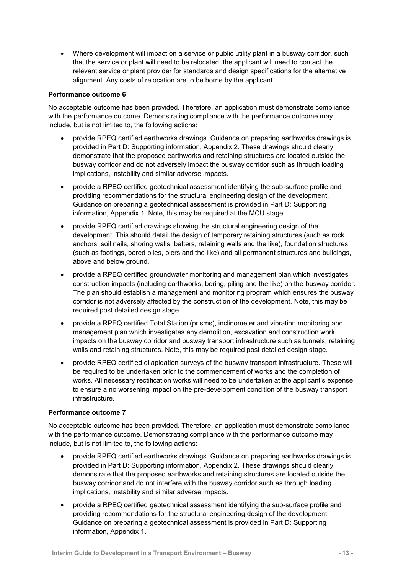Where development will impact on a service or public utility plant in a busway corridor, such that the service or plant will need to be relocated, the applicant will need to contact the relevant service or plant provider for standards and design specifications for the alternative alignment. Any costs of relocation are to be borne by the applicant.

#### **Performance outcome 6**

No acceptable outcome has been provided. Therefore, an application must demonstrate compliance with the performance outcome. Demonstrating compliance with the performance outcome may include, but is not limited to, the following actions:

- provide RPEQ certified earthworks drawings. Guidance on preparing earthworks drawings is provided in Part D: Supporting information, Appendix 2. These drawings should clearly demonstrate that the proposed earthworks and retaining structures are located outside the busway corridor and do not adversely impact the busway corridor such as through loading implications, instability and similar adverse impacts.
- provide a RPEQ certified geotechnical assessment identifying the sub-surface profile and providing recommendations for the structural engineering design of the development. Guidance on preparing a geotechnical assessment is provided in Part D: Supporting information, Appendix 1. Note, this may be required at the MCU stage.
- provide RPEQ certified drawings showing the structural engineering design of the development. This should detail the design of temporary retaining structures (such as rock anchors, soil nails, shoring walls, batters, retaining walls and the like), foundation structures (such as footings, bored piles, piers and the like) and all permanent structures and buildings, above and below ground.
- provide a RPEQ certified groundwater monitoring and management plan which investigates construction impacts (including earthworks, boring, piling and the like) on the busway corridor. The plan should establish a management and monitoring program which ensures the busway corridor is not adversely affected by the construction of the development. Note, this may be required post detailed design stage.
- provide a RPEQ certified Total Station (prisms), inclinometer and vibration monitoring and management plan which investigates any demolition, excavation and construction work impacts on the busway corridor and busway transport infrastructure such as tunnels, retaining walls and retaining structures. Note, this may be required post detailed design stage.
- provide RPEQ certified dilapidation surveys of the busway transport infrastructure. These will be required to be undertaken prior to the commencement of works and the completion of works. All necessary rectification works will need to be undertaken at the applicant's expense to ensure a no worsening impact on the pre-development condition of the busway transport infrastructure.

#### **Performance outcome 7**

No acceptable outcome has been provided. Therefore, an application must demonstrate compliance with the performance outcome. Demonstrating compliance with the performance outcome may include, but is not limited to, the following actions:

- provide RPEQ certified earthworks drawings. Guidance on preparing earthworks drawings is provided in Part D: Supporting information, Appendix 2. These drawings should clearly demonstrate that the proposed earthworks and retaining structures are located outside the busway corridor and do not interfere with the busway corridor such as through loading implications, instability and similar adverse impacts.
- provide a RPEQ certified geotechnical assessment identifying the sub-surface profile and providing recommendations for the structural engineering design of the development Guidance on preparing a geotechnical assessment is provided in Part D: Supporting information, Appendix 1.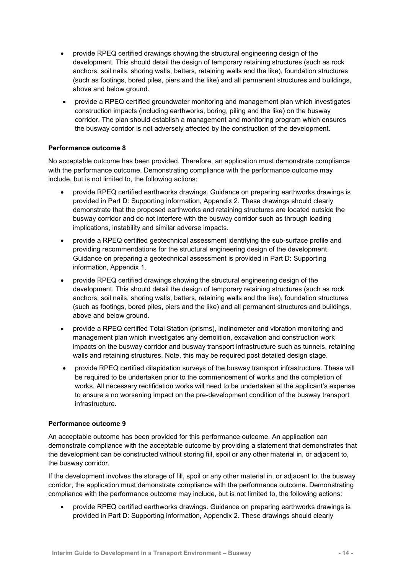- provide RPEQ certified drawings showing the structural engineering design of the development. This should detail the design of temporary retaining structures (such as rock anchors, soil nails, shoring walls, batters, retaining walls and the like), foundation structures (such as footings, bored piles, piers and the like) and all permanent structures and buildings, above and below ground.
- provide a RPEQ certified groundwater monitoring and management plan which investigates construction impacts (including earthworks, boring, piling and the like) on the busway corridor. The plan should establish a management and monitoring program which ensures the busway corridor is not adversely affected by the construction of the development.

#### **Performance outcome 8**

No acceptable outcome has been provided. Therefore, an application must demonstrate compliance with the performance outcome. Demonstrating compliance with the performance outcome may include, but is not limited to, the following actions:

- provide RPEQ certified earthworks drawings. Guidance on preparing earthworks drawings is provided in Part D: Supporting information, Appendix 2. These drawings should clearly demonstrate that the proposed earthworks and retaining structures are located outside the busway corridor and do not interfere with the busway corridor such as through loading implications, instability and similar adverse impacts.
- provide a RPEQ certified geotechnical assessment identifying the sub-surface profile and providing recommendations for the structural engineering design of the development. Guidance on preparing a geotechnical assessment is provided in Part D: Supporting information, Appendix 1.
- provide RPEQ certified drawings showing the structural engineering design of the development. This should detail the design of temporary retaining structures (such as rock anchors, soil nails, shoring walls, batters, retaining walls and the like), foundation structures (such as footings, bored piles, piers and the like) and all permanent structures and buildings, above and below ground.
- provide a RPEQ certified Total Station (prisms), inclinometer and vibration monitoring and management plan which investigates any demolition, excavation and construction work impacts on the busway corridor and busway transport infrastructure such as tunnels, retaining walls and retaining structures. Note, this may be required post detailed design stage.
- provide RPEQ certified dilapidation surveys of the busway transport infrastructure. These will be required to be undertaken prior to the commencement of works and the completion of works. All necessary rectification works will need to be undertaken at the applicant's expense to ensure a no worsening impact on the pre-development condition of the busway transport infrastructure.

#### **Performance outcome 9**

An acceptable outcome has been provided for this performance outcome. An application can demonstrate compliance with the acceptable outcome by providing a statement that demonstrates that the development can be constructed without storing fill, spoil or any other material in, or adjacent to, the busway corridor.

If the development involves the storage of fill, spoil or any other material in, or adjacent to, the busway corridor, the application must demonstrate compliance with the performance outcome. Demonstrating compliance with the performance outcome may include, but is not limited to, the following actions:

 provide RPEQ certified earthworks drawings. Guidance on preparing earthworks drawings is provided in Part D: Supporting information, Appendix 2. These drawings should clearly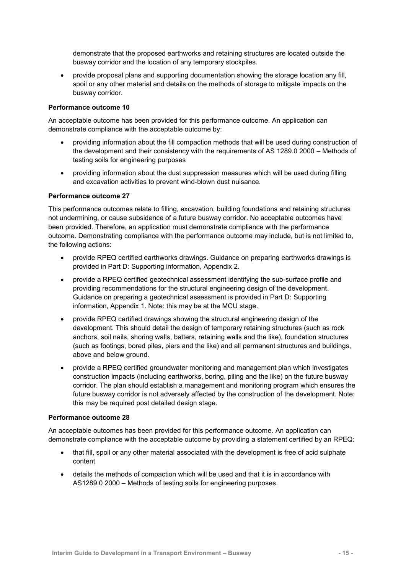demonstrate that the proposed earthworks and retaining structures are located outside the busway corridor and the location of any temporary stockpiles.

 provide proposal plans and supporting documentation showing the storage location any fill, spoil or any other material and details on the methods of storage to mitigate impacts on the busway corridor.

#### **Performance outcome 10**

An acceptable outcome has been provided for this performance outcome. An application can demonstrate compliance with the acceptable outcome by:

- providing information about the fill compaction methods that will be used during construction of the development and their consistency with the requirements of AS 1289.0 2000 – Methods of testing soils for engineering purposes
- providing information about the dust suppression measures which will be used during filling and excavation activities to prevent wind-blown dust nuisance.

#### **Performance outcome 27**

This performance outcomes relate to filling, excavation, building foundations and retaining structures not undermining, or cause subsidence of a future busway corridor. No acceptable outcomes have been provided. Therefore, an application must demonstrate compliance with the performance outcome. Demonstrating compliance with the performance outcome may include, but is not limited to, the following actions:

- provide RPEQ certified earthworks drawings. Guidance on preparing earthworks drawings is provided in Part D: Supporting information, Appendix 2.
- provide a RPEQ certified geotechnical assessment identifying the sub-surface profile and providing recommendations for the structural engineering design of the development. Guidance on preparing a geotechnical assessment is provided in Part D: Supporting information, Appendix 1. Note: this may be at the MCU stage.
- provide RPEQ certified drawings showing the structural engineering design of the development. This should detail the design of temporary retaining structures (such as rock anchors, soil nails, shoring walls, batters, retaining walls and the like), foundation structures (such as footings, bored piles, piers and the like) and all permanent structures and buildings, above and below ground.
- provide a RPEQ certified groundwater monitoring and management plan which investigates construction impacts (including earthworks, boring, piling and the like) on the future busway corridor. The plan should establish a management and monitoring program which ensures the future busway corridor is not adversely affected by the construction of the development. Note: this may be required post detailed design stage.

#### **Performance outcome 28**

An acceptable outcomes has been provided for this performance outcome. An application can demonstrate compliance with the acceptable outcome by providing a statement certified by an RPEQ:

- that fill, spoil or any other material associated with the development is free of acid sulphate content
- details the methods of compaction which will be used and that it is in accordance with AS1289.0 2000 – Methods of testing soils for engineering purposes.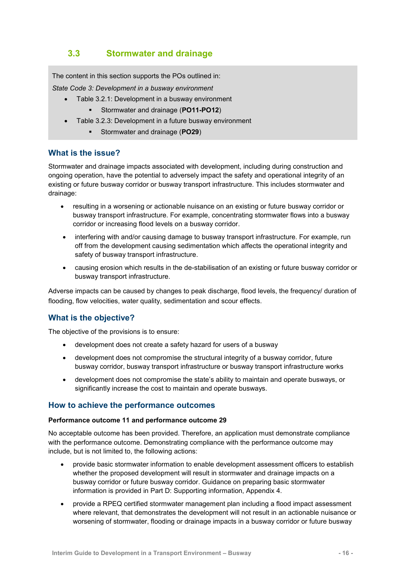## <span id="page-19-0"></span>**3.3 Stormwater and drainage**

The content in this section supports the POs outlined in:

*State Code 3: Development in a busway environment*

- Table 3.2.1: Development in a busway environment
	- Stormwater and drainage (**PO11-PO12**)
- Table 3.2.3: Development in a future busway environment
	- Stormwater and drainage (**PO29**)

#### **What is the issue?**

Stormwater and drainage impacts associated with development, including during construction and ongoing operation, have the potential to adversely impact the safety and operational integrity of an existing or future busway corridor or busway transport infrastructure. This includes stormwater and drainage:

- resulting in a worsening or actionable nuisance on an existing or future busway corridor or busway transport infrastructure. For example, concentrating stormwater flows into a busway corridor or increasing flood levels on a busway corridor.
- interfering with and/or causing damage to busway transport infrastructure. For example, run off from the development causing sedimentation which affects the operational integrity and safety of busway transport infrastructure.
- causing erosion which results in the de-stabilisation of an existing or future busway corridor or busway transport infrastructure.

Adverse impacts can be caused by changes to peak discharge, flood levels, the frequency/ duration of flooding, flow velocities, water quality, sedimentation and scour effects.

#### **What is the objective?**

The objective of the provisions is to ensure:

- development does not create a safety hazard for users of a busway
- development does not compromise the structural integrity of a busway corridor, future busway corridor, busway transport infrastructure or busway transport infrastructure works
- development does not compromise the state's ability to maintain and operate busways, or significantly increase the cost to maintain and operate busways.

#### **How to achieve the performance outcomes**

#### **Performance outcome 11 and performance outcome 29**

No acceptable outcome has been provided. Therefore, an application must demonstrate compliance with the performance outcome. Demonstrating compliance with the performance outcome may include, but is not limited to, the following actions:

- provide basic stormwater information to enable development assessment officers to establish whether the proposed development will result in stormwater and drainage impacts on a busway corridor or future busway corridor. Guidance on preparing basic stormwater information is provided in Part D: Supporting information, Appendix 4.
- provide a RPEQ certified stormwater management plan including a flood impact assessment where relevant, that demonstrates the development will not result in an actionable nuisance or worsening of stormwater, flooding or drainage impacts in a busway corridor or future busway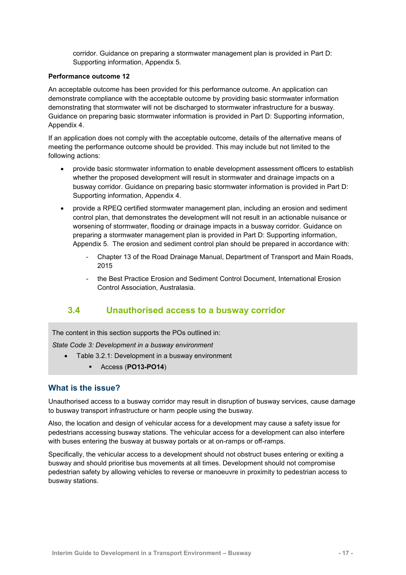corridor. Guidance on preparing a stormwater management plan is provided in Part D: Supporting information, Appendix 5.

#### **Performance outcome 12**

An acceptable outcome has been provided for this performance outcome. An application can demonstrate compliance with the acceptable outcome by providing basic stormwater information demonstrating that stormwater will not be discharged to stormwater infrastructure for a busway. Guidance on preparing basic stormwater information is provided in Part D: Supporting information, Appendix 4.

If an application does not comply with the acceptable outcome, details of the alternative means of meeting the performance outcome should be provided. This may include but not limited to the following actions:

- provide basic stormwater information to enable development assessment officers to establish whether the proposed development will result in stormwater and drainage impacts on a busway corridor. Guidance on preparing basic stormwater information is provided in Part D: Supporting information, Appendix 4.
- provide a RPEQ certified stormwater management plan, including an erosion and sediment control plan, that demonstrates the development will not result in an actionable nuisance or worsening of stormwater, flooding or drainage impacts in a busway corridor. Guidance on preparing a stormwater management plan is provided in Part D: Supporting information, Appendix 5. The erosion and sediment control plan should be prepared in accordance with:
	- Chapter 13 of the Road Drainage Manual, Department of Transport and Main Roads, 2015
	- the Best Practice Erosion and Sediment Control Document, International Erosion Control Association, Australasia.

## <span id="page-20-0"></span>**3.4 Unauthorised access to a busway corridor**

The content in this section supports the POs outlined in:

*State Code 3: Development in a busway environment*

- Table 3.2.1: Development in a busway environment
	- Access (**PO13-PO14**)

#### **What is the issue?**

Unauthorised access to a busway corridor may result in disruption of busway services, cause damage to busway transport infrastructure or harm people using the busway.

Also, the location and design of vehicular access for a development may cause a safety issue for pedestrians accessing busway stations. The vehicular access for a development can also interfere with buses entering the busway at busway portals or at on-ramps or off-ramps.

Specifically, the vehicular access to a development should not obstruct buses entering or exiting a busway and should prioritise bus movements at all times. Development should not compromise pedestrian safety by allowing vehicles to reverse or manoeuvre in proximity to pedestrian access to busway stations.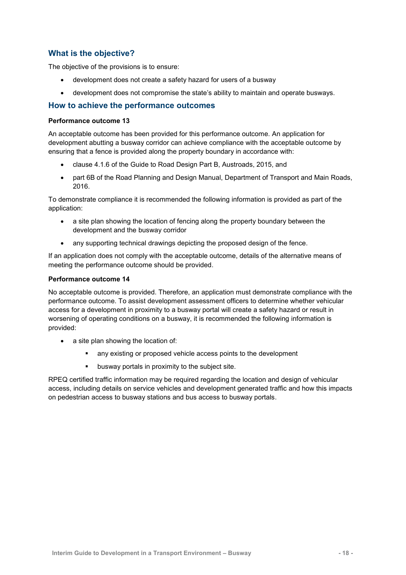### **What is the objective?**

The objective of the provisions is to ensure:

- development does not create a safety hazard for users of a busway
- development does not compromise the state's ability to maintain and operate busways.

#### **How to achieve the performance outcomes**

#### **Performance outcome 13**

An acceptable outcome has been provided for this performance outcome. An application for development abutting a busway corridor can achieve compliance with the acceptable outcome by ensuring that a fence is provided along the property boundary in accordance with:

- clause 4.1.6 of the Guide to Road Design Part B, Austroads, 2015, and
- part 6B of the Road Planning and Design Manual, Department of Transport and Main Roads, 2016.

To demonstrate compliance it is recommended the following information is provided as part of the application:

- a site plan showing the location of fencing along the property boundary between the development and the busway corridor
- any supporting technical drawings depicting the proposed design of the fence.

If an application does not comply with the acceptable outcome, details of the alternative means of meeting the performance outcome should be provided.

#### **Performance outcome 14**

No acceptable outcome is provided. Therefore, an application must demonstrate compliance with the performance outcome. To assist development assessment officers to determine whether vehicular access for a development in proximity to a busway portal will create a safety hazard or result in worsening of operating conditions on a busway, it is recommended the following information is provided:

- a site plan showing the location of:
	- any existing or proposed vehicle access points to the development
	- busway portals in proximity to the subject site.

RPEQ certified traffic information may be required regarding the location and design of vehicular access, including details on service vehicles and development generated traffic and how this impacts on pedestrian access to busway stations and bus access to busway portals.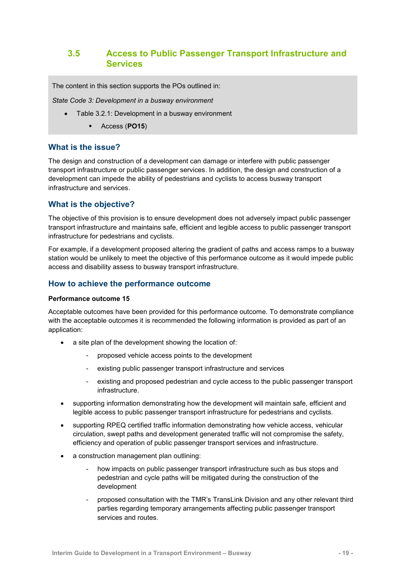## <span id="page-22-0"></span>**3.5 Access to Public Passenger Transport Infrastructure and Services**

The content in this section supports the POs outlined in:

*State Code 3: Development in a busway environment*

- Table 3.2.1: Development in a busway environment
	- Access (**PO15**)

#### **What is the issue?**

The design and construction of a development can damage or interfere with public passenger transport infrastructure or public passenger services. In addition, the design and construction of a development can impede the ability of pedestrians and cyclists to access busway transport infrastructure and services.

#### **What is the objective?**

The objective of this provision is to ensure development does not adversely impact public passenger transport infrastructure and maintains safe, efficient and legible access to public passenger transport infrastructure for pedestrians and cyclists.

For example, if a development proposed altering the gradient of paths and access ramps to a busway station would be unlikely to meet the objective of this performance outcome as it would impede public access and disability assess to busway transport infrastructure.

#### **How to achieve the performance outcome**

#### **Performance outcome 15**

Acceptable outcomes have been provided for this performance outcome. To demonstrate compliance with the acceptable outcomes it is recommended the following information is provided as part of an application:

- a site plan of the development showing the location of:
	- proposed vehicle access points to the development
	- existing public passenger transport infrastructure and services
	- existing and proposed pedestrian and cycle access to the public passenger transport infrastructure.
- supporting information demonstrating how the development will maintain safe, efficient and legible access to public passenger transport infrastructure for pedestrians and cyclists.
- supporting RPEQ certified traffic information demonstrating how vehicle access, vehicular circulation, swept paths and development generated traffic will not compromise the safety, efficiency and operation of public passenger transport services and infrastructure.
- a construction management plan outlining:
	- how impacts on public passenger transport infrastructure such as bus stops and pedestrian and cycle paths will be mitigated during the construction of the development
	- proposed consultation with the TMR's TransLink Division and any other relevant third parties regarding temporary arrangements affecting public passenger transport services and routes.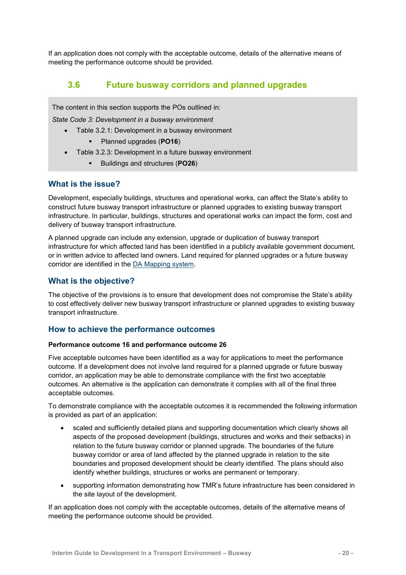<span id="page-23-0"></span>If an application does not comply with the acceptable outcome, details of the alternative means of meeting the performance outcome should be provided.

## **3.6 Future busway corridors and planned upgrades**

The content in this section supports the POs outlined in:

*State Code 3: Development in a busway environment*

- Table 3.2.1: Development in a busway environment
	- Planned upgrades (**PO16**)
- Table 3.2.3: Development in a future busway environment
	- Buildings and structures (**PO26**)

#### **What is the issue?**

Development, especially buildings, structures and operational works, can affect the State's ability to construct future busway transport infrastructure or planned upgrades to existing busway transport infrastructure. In particular, buildings, structures and operational works can impact the form, cost and delivery of busway transport infrastructure.

A planned upgrade can include any extension, upgrade or duplication of busway transport infrastructure for which affected land has been identified in a publicly available government document, or in written advice to affected land owners. Land required for planned upgrades or a future busway corridor are identified in the [DA Mapping system.](http://dams.dsdip.esriaustraliaonline.com.au/damappingsystem/)

### **What is the objective?**

The objective of the provisions is to ensure that development does not compromise the State's ability to cost effectively deliver new busway transport infrastructure or planned upgrades to existing busway transport infrastructure.

#### **How to achieve the performance outcomes**

#### **Performance outcome 16 and performance outcome 26**

Five acceptable outcomes have been identified as a way for applications to meet the performance outcome. If a development does not involve land required for a planned upgrade or future busway corridor, an application may be able to demonstrate compliance with the first two acceptable outcomes. An alternative is the application can demonstrate it complies with all of the final three acceptable outcomes.

To demonstrate compliance with the acceptable outcomes it is recommended the following information is provided as part of an application:

- scaled and sufficiently detailed plans and supporting documentation which clearly shows all aspects of the proposed development (buildings, structures and works and their setbacks) in relation to the future busway corridor or planned upgrade. The boundaries of the future busway corridor or area of land affected by the planned upgrade in relation to the site boundaries and proposed development should be clearly identified. The plans should also identify whether buildings, structures or works are permanent or temporary.
- supporting information demonstrating how TMR's future infrastructure has been considered in the site layout of the development.

If an application does not comply with the acceptable outcomes, details of the alternative means of meeting the performance outcome should be provided.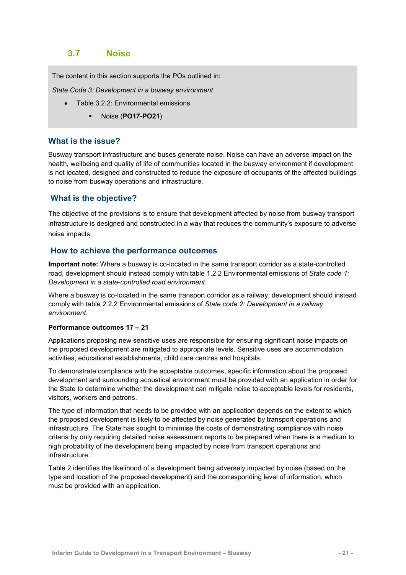## <span id="page-24-0"></span>**3.7 Noise**

The content in this section supports the POs outlined in:

*State Code 3: Development in a busway environment*

- Table 3.2.2: Environmental emissions
	- Noise (**PO17-PO21**)

#### **What is the issue?**

Busway transport infrastructure and buses generate noise. Noise can have an adverse impact on the health, wellbeing and quality of life of communities located in the busway environment if development is not located, designed and constructed to reduce the exposure of occupants of the affected buildings to noise from busway operations and infrastructure.

#### **What is the objective?**

The objective of the provisions is to ensure that development affected by noise from busway transport infrastructure is designed and constructed in a way that reduces the community's exposure to adverse noise impacts.

#### **How to achieve the performance outcomes**

**Important note:** Where a busway is co-located in the same transport corridor as a state-controlled road, development should instead comply with table 1.2.2 Environmental emissions of *State code 1: Development in a state-controlled road environment*.

Where a busway is co-located in the same transport corridor as a railway, development should instead comply with table 2.2.2 Environmental emissions of *State code 2: Development in a railway environment*.

#### **Performance outcomes 17 – 21**

Applications proposing new sensitive uses are responsible for ensuring significant noise impacts on the proposed development are mitigated to appropriate levels. Sensitive uses are accommodation activities, educational establishments, child care centres and hospitals.

To demonstrate compliance with the acceptable outcomes, specific information about the proposed development and surrounding acoustical environment must be provided with an application in order for the State to determine whether the development can mitigate noise to acceptable levels for residents, visitors, workers and patrons.

The type of information that needs to be provided with an application depends on the extent to which the proposed development is likely to be affected by noise generated by transport operations and infrastructure. The State has sought to minimise the costs of demonstrating compliance with noise criteria by only requiring detailed noise assessment reports to be prepared when there is a medium to high probability of the development being impacted by noise from transport operations and infrastructure.

Table 2 identifies the likelihood of a development being adversely impacted by noise (based on the type and location of the proposed development) and the corresponding level of information, which must be provided with an application.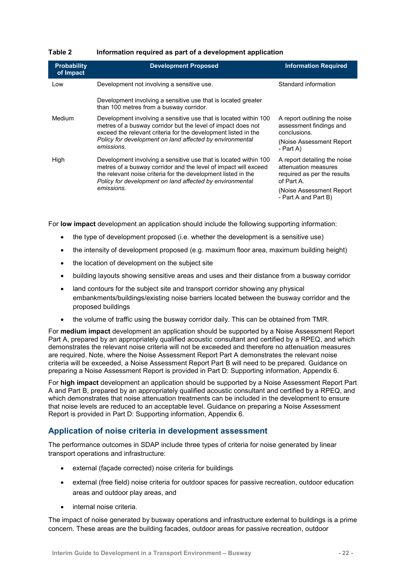#### **Table 2 Information required as part of a development application**

| <b>Probability</b><br>of Impact | <b>Development Proposed</b>                                                                                                                                                                                                                                                    | <b>Information Required</b>                                                                                                                            |
|---------------------------------|--------------------------------------------------------------------------------------------------------------------------------------------------------------------------------------------------------------------------------------------------------------------------------|--------------------------------------------------------------------------------------------------------------------------------------------------------|
| Low                             | Development not involving a sensitive use.                                                                                                                                                                                                                                     | Standard information                                                                                                                                   |
|                                 | Development involving a sensitive use that is located greater<br>than 100 metres from a busway corridor.                                                                                                                                                                       |                                                                                                                                                        |
| Medium                          | Development involving a sensitive use that is located within 100<br>metres of a busway corridor but the level of impact does not<br>exceed the relevant criteria for the development listed in the<br>Policy for development on land affected by environmental<br>emissions.   | A report outlining the noise<br>assessment findings and<br>conclusions.<br>(Noise Assessment Report)<br>- Part A)                                      |
| High                            | Development involving a sensitive use that is located within 100<br>metres of a busway corridor and the level of impact will exceed<br>the relevant noise criteria for the development listed in the<br>Policy for development on land affected by environmental<br>emissions. | A report detailing the noise<br>attenuation measures<br>required as per the results<br>of Part A.<br>(Noise Assessment Report)<br>- Part A and Part B) |

For **low impact** development an application should include the following supporting information:

- the type of development proposed (i.e. whether the development is a sensitive use)
- the intensity of development proposed (e.g. maximum floor area, maximum building height)
- the location of development on the subject site
- building layouts showing sensitive areas and uses and their distance from a busway corridor
- land contours for the subject site and transport corridor showing any physical embankments/buildings/existing noise barriers located between the busway corridor and the proposed buildings
- the volume of traffic using the busway corridor daily. This can be obtained from TMR.

For **medium impact** development an application should be supported by a Noise Assessment Report Part A, prepared by an appropriately qualified acoustic consultant and certified by a RPEQ, and which demonstrates the relevant noise criteria will not be exceeded and therefore no attenuation measures are required. Note, where the Noise Assessment Report Part A demonstrates the relevant noise criteria will be exceeded, a Noise Assessment Report Part B will need to be prepared. Guidance on preparing a Noise Assessment Report is provided in Part D: Supporting information, Appendix 6.

For **high impact** development an application should be supported by a Noise Assessment Report Part A and Part B, prepared by an appropriately qualified acoustic consultant and certified by a RPEQ, and which demonstrates that noise attenuation treatments can be included in the development to ensure that noise levels are reduced to an acceptable level. Guidance on preparing a Noise Assessment Report is provided in Part D: Supporting information, Appendix 6.

#### **Application of noise criteria in development assessment**

The performance outcomes in SDAP include three types of criteria for noise generated by linear transport operations and infrastructure:

- external (façade corrected) noise criteria for buildings
- external (free field) noise criteria for outdoor spaces for passive recreation, outdoor education areas and outdoor play areas, and
- internal noise criteria.

The impact of noise generated by busway operations and infrastructure external to buildings is a prime concern. These areas are the building facades, outdoor areas for passive recreation, outdoor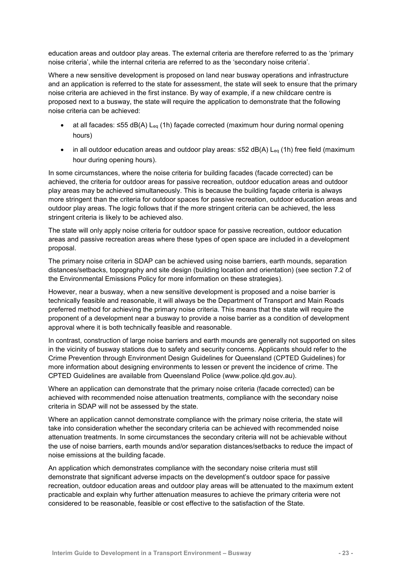education areas and outdoor play areas. The external criteria are therefore referred to as the 'primary noise criteria', while the internal criteria are referred to as the 'secondary noise criteria'.

Where a new sensitive development is proposed on land near busway operations and infrastructure and an application is referred to the state for assessment, the state will seek to ensure that the primary noise criteria are achieved in the first instance. By way of example, if a new childcare centre is proposed next to a busway, the state will require the application to demonstrate that the following noise criteria can be achieved:

- at all facades: ≤55 dB(A) Leq (1h) façade corrected (maximum hour during normal opening hours)
- in all outdoor education areas and outdoor play areas: ≤52 dB(A) L<sub>eq</sub> (1h) free field (maximum hour during opening hours).

In some circumstances, where the noise criteria for building facades (facade corrected) can be achieved, the criteria for outdoor areas for passive recreation, outdoor education areas and outdoor play areas may be achieved simultaneously. This is because the building façade criteria is always more stringent than the criteria for outdoor spaces for passive recreation, outdoor education areas and outdoor play areas. The logic follows that if the more stringent criteria can be achieved, the less stringent criteria is likely to be achieved also.

The state will only apply noise criteria for outdoor space for passive recreation, outdoor education areas and passive recreation areas where these types of open space are included in a development proposal.

The primary noise criteria in SDAP can be achieved using noise barriers, earth mounds, separation distances/setbacks, topography and site design (building location and orientation) (see section 7.2 of the Environmental Emissions Policy for more information on these strategies).

However, near a busway, when a new sensitive development is proposed and a noise barrier is technically feasible and reasonable, it will always be the Department of Transport and Main Roads preferred method for achieving the primary noise criteria. This means that the state will require the proponent of a development near a busway to provide a noise barrier as a condition of development approval where it is both technically feasible and reasonable.

In contrast, construction of large noise barriers and earth mounds are generally not supported on sites in the vicinity of busway stations due to safety and security concerns. Applicants should refer to the Crime Prevention through Environment Design Guidelines for Queensland (CPTED Guidelines) for more information about designing environments to lessen or prevent the incidence of crime. The CPTED Guidelines are available from Queensland Police (www.police.qld.gov.au).

Where an application can demonstrate that the primary noise criteria (facade corrected) can be achieved with recommended noise attenuation treatments, compliance with the secondary noise criteria in SDAP will not be assessed by the state.

Where an application cannot demonstrate compliance with the primary noise criteria, the state will take into consideration whether the secondary criteria can be achieved with recommended noise attenuation treatments. In some circumstances the secondary criteria will not be achievable without the use of noise barriers, earth mounds and/or separation distances/setbacks to reduce the impact of noise emissions at the building facade.

An application which demonstrates compliance with the secondary noise criteria must still demonstrate that significant adverse impacts on the development's outdoor space for passive recreation, outdoor education areas and outdoor play areas will be attenuated to the maximum extent practicable and explain why further attenuation measures to achieve the primary criteria were not considered to be reasonable, feasible or cost effective to the satisfaction of the State.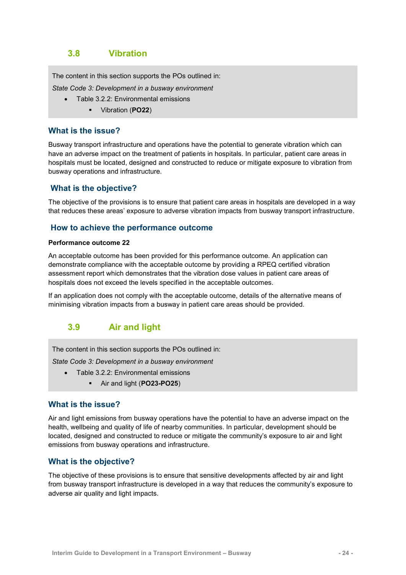## <span id="page-27-0"></span>**3.8 Vibration**

The content in this section supports the POs outlined in:

*State Code 3: Development in a busway environment*

- Table 3.2.2: Environmental emissions
	- Vibration (**PO22**)

#### **What is the issue?**

Busway transport infrastructure and operations have the potential to generate vibration which can have an adverse impact on the treatment of patients in hospitals. In particular, patient care areas in hospitals must be located, designed and constructed to reduce or mitigate exposure to vibration from busway operations and infrastructure.

#### **What is the objective?**

The objective of the provisions is to ensure that patient care areas in hospitals are developed in a way that reduces these areas' exposure to adverse vibration impacts from busway transport infrastructure.

#### **How to achieve the performance outcome**

#### **Performance outcome 22**

An acceptable outcome has been provided for this performance outcome. An application can demonstrate compliance with the acceptable outcome by providing a RPEQ certified vibration assessment report which demonstrates that the vibration dose values in patient care areas of hospitals does not exceed the levels specified in the acceptable outcomes.

If an application does not comply with the acceptable outcome, details of the alternative means of minimising vibration impacts from a busway in patient care areas should be provided.

## <span id="page-27-1"></span>**3.9 Air and light**

The content in this section supports the POs outlined in:

*State Code 3: Development in a busway environment*

- Table 3.2.2: Environmental emissions
	- Air and light (**PO23-PO25**)

#### **What is the issue?**

Air and light emissions from busway operations have the potential to have an adverse impact on the health, wellbeing and quality of life of nearby communities. In particular, development should be located, designed and constructed to reduce or mitigate the community's exposure to air and light emissions from busway operations and infrastructure.

#### **What is the objective?**

The objective of these provisions is to ensure that sensitive developments affected by air and light from busway transport infrastructure is developed in a way that reduces the community's exposure to adverse air quality and light impacts.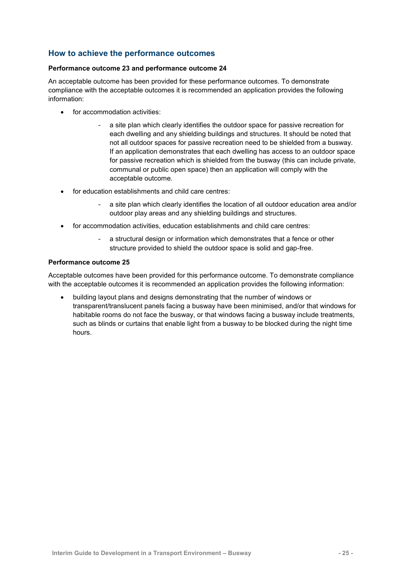### **How to achieve the performance outcomes**

#### **Performance outcome 23 and performance outcome 24**

An acceptable outcome has been provided for these performance outcomes. To demonstrate compliance with the acceptable outcomes it is recommended an application provides the following information:

- for accommodation activities:
	- a site plan which clearly identifies the outdoor space for passive recreation for each dwelling and any shielding buildings and structures. It should be noted that not all outdoor spaces for passive recreation need to be shielded from a busway. If an application demonstrates that each dwelling has access to an outdoor space for passive recreation which is shielded from the busway (this can include private, communal or public open space) then an application will comply with the acceptable outcome.
- for education establishments and child care centres:
	- a site plan which clearly identifies the location of all outdoor education area and/or outdoor play areas and any shielding buildings and structures.
- for accommodation activities, education establishments and child care centres:
	- a structural design or information which demonstrates that a fence or other structure provided to shield the outdoor space is solid and gap-free.

#### **Performance outcome 25**

Acceptable outcomes have been provided for this performance outcome. To demonstrate compliance with the acceptable outcomes it is recommended an application provides the following information:

 building layout plans and designs demonstrating that the number of windows or transparent/translucent panels facing a busway have been minimised, and/or that windows for habitable rooms do not face the busway, or that windows facing a busway include treatments, such as blinds or curtains that enable light from a busway to be blocked during the night time hours.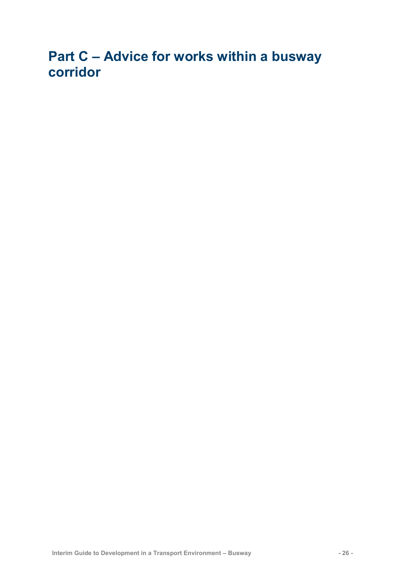## <span id="page-29-0"></span>**Part C – Advice for works within a busway corridor**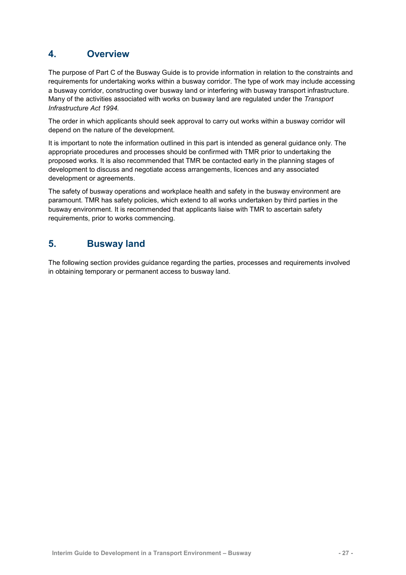## <span id="page-30-0"></span>**4. Overview**

The purpose of Part C of the Busway Guide is to provide information in relation to the constraints and requirements for undertaking works within a busway corridor. The type of work may include accessing a busway corridor, constructing over busway land or interfering with busway transport infrastructure. Many of the activities associated with works on busway land are regulated under the *Transport Infrastructure Act 1994.* 

The order in which applicants should seek approval to carry out works within a busway corridor will depend on the nature of the development.

It is important to note the information outlined in this part is intended as general guidance only. The appropriate procedures and processes should be confirmed with TMR prior to undertaking the proposed works. It is also recommended that TMR be contacted early in the planning stages of development to discuss and negotiate access arrangements, licences and any associated development or agreements.

The safety of busway operations and workplace health and safety in the busway environment are paramount. TMR has safety policies, which extend to all works undertaken by third parties in the busway environment. It is recommended that applicants liaise with TMR to ascertain safety requirements, prior to works commencing.

## <span id="page-30-1"></span>**5. Busway land**

The following section provides guidance regarding the parties, processes and requirements involved in obtaining temporary or permanent access to busway land.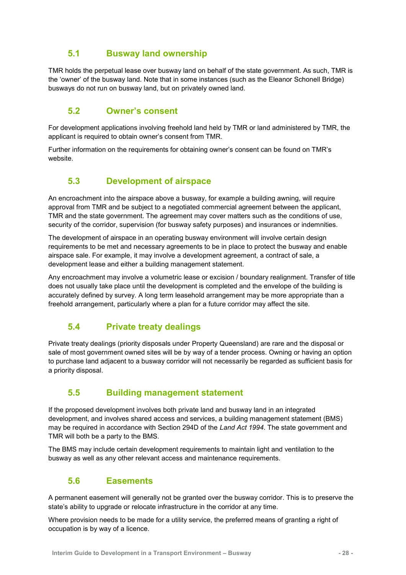## **5.1 Busway land ownership**

<span id="page-31-0"></span>TMR holds the perpetual lease over busway land on behalf of the state government. As such, TMR is the 'owner' of the busway land. Note that in some instances (such as the Eleanor Schonell Bridge) busways do not run on busway land, but on privately owned land.

## <span id="page-31-1"></span>**5.2 Owner's consent**

For development applications involving freehold land held by TMR or land administered by TMR, the applicant is required to obtain owner's consent from TMR.

<span id="page-31-2"></span>Further information on the requirements for obtaining owner's consent can be found on [TMR's](http://www.tmr.qld.gov.au/Community-and-environment/Planning-and-development/Planning-and-development-assessment-under-SPA/Assessable-development/Owners-consent-dept-land/Owners-consent-land-owned-by-department)  [website.](http://www.tmr.qld.gov.au/Community-and-environment/Planning-and-development/Planning-and-development-assessment-under-SPA/Assessable-development/Owners-consent-dept-land/Owners-consent-land-owned-by-department)

## **5.3 Development of airspace**

An encroachment into the airspace above a busway, for example a building awning, will require approval from TMR and be subject to a negotiated commercial agreement between the applicant, TMR and the state government. The agreement may cover matters such as the conditions of use, security of the corridor, supervision (for busway safety purposes) and insurances or indemnities.

The development of airspace in an operating busway environment will involve certain design requirements to be met and necessary agreements to be in place to protect the busway and enable airspace sale. For example, it may involve a development agreement, a contract of sale, a development lease and either a building management statement.

Any encroachment may involve a volumetric lease or excision / boundary realignment. Transfer of title does not usually take place until the development is completed and the envelope of the building is accurately defined by survey. A long term leasehold arrangement may be more appropriate than a freehold arrangement, particularly where a plan for a future corridor may affect the site.

## <span id="page-31-3"></span>**5.4 Private treaty dealings**

Private treaty dealings (priority disposals under Property Queensland) are rare and the disposal or sale of most government owned sites will be by way of a tender process. Owning or having an option to purchase land adjacent to a busway corridor will not necessarily be regarded as sufficient basis for a priority disposal.

## <span id="page-31-4"></span>**5.5 Building management statement**

If the proposed development involves both private land and busway land in an integrated development, and involves shared access and services, a building management statement (BMS) may be required in accordance with Section 294D of the *Land Act 1994*. The state government and TMR will both be a party to the BMS.

<span id="page-31-5"></span>The BMS may include certain development requirements to maintain light and ventilation to the busway as well as any other relevant access and maintenance requirements.

#### **5.6 Easements**

A permanent easement will generally not be granted over the busway corridor. This is to preserve the state's ability to upgrade or relocate infrastructure in the corridor at any time.

Where provision needs to be made for a utility service, the preferred means of granting a right of occupation is by way of a licence.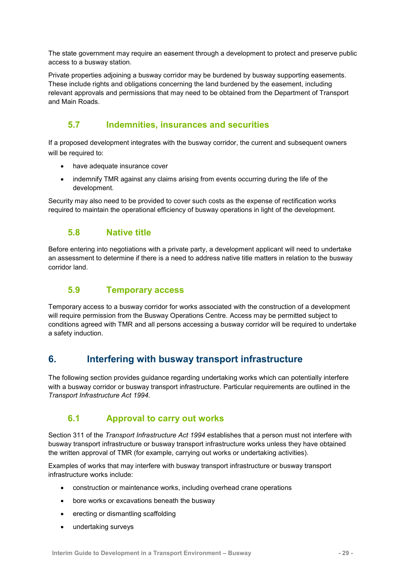The state government may require an easement through a development to protect and preserve public access to a busway station.

Private properties adjoining a busway corridor may be burdened by busway supporting easements. These include rights and obligations concerning the land burdened by the easement, including relevant approvals and permissions that may need to be obtained from the Department of Transport and Main Roads.

## <span id="page-32-0"></span>**5.7 Indemnities, insurances and securities**

If a proposed development integrates with the busway corridor, the current and subsequent owners will be required to:

- have adequate insurance cover
- indemnify TMR against any claims arising from events occurring during the life of the development.

<span id="page-32-1"></span>Security may also need to be provided to cover such costs as the expense of rectification works required to maintain the operational efficiency of busway operations in light of the development.

## **5.8 Native title**

Before entering into negotiations with a private party, a development applicant will need to undertake an assessment to determine if there is a need to address native title matters in relation to the busway corridor land.

## <span id="page-32-2"></span>**5.9 Temporary access**

Temporary access to a busway corridor for works associated with the construction of a development will require permission from the Busway Operations Centre. Access may be permitted subject to conditions agreed with TMR and all persons accessing a busway corridor will be required to undertake a safety induction.

## <span id="page-32-3"></span>**6. Interfering with busway transport infrastructure**

The following section provides guidance regarding undertaking works which can potentially interfere with a busway corridor or busway transport infrastructure. Particular requirements are outlined in the *Transport Infrastructure Act 1994.*

## <span id="page-32-4"></span>**6.1 Approval to carry out works**

Section 311 of the *Transport Infrastructure Act 1994* establishes that a person must not interfere with busway transport infrastructure or busway transport infrastructure works unless they have obtained the written approval of TMR (for example, carrying out works or undertaking activities).

Examples of works that may interfere with busway transport infrastructure or busway transport infrastructure works include:

- construction or maintenance works, including overhead crane operations
- bore works or excavations beneath the busway
- erecting or dismantling scaffolding
- undertaking surveys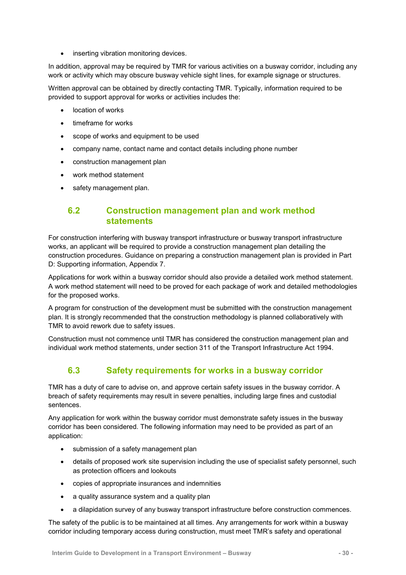• inserting vibration monitoring devices.

In addition, approval may be required by TMR for various activities on a busway corridor, including any work or activity which may obscure busway vehicle sight lines, for example signage or structures.

Written approval can be obtained by directly contacting TMR. Typically, information required to be provided to support approval for works or activities includes the:

- location of works
- timeframe for works
- scope of works and equipment to be used
- company name, contact name and contact details including phone number
- construction management plan
- work method statement
- <span id="page-33-0"></span>safety management plan.

### **6.2 Construction management plan and work method statements**

For construction interfering with busway transport infrastructure or busway transport infrastructure works, an applicant will be required to provide a construction management plan detailing the construction procedures. Guidance on preparing a construction management plan is provided in Part D: Supporting information, Appendix 7.

Applications for work within a busway corridor should also provide a detailed work method statement. A work method statement will need to be proved for each package of work and detailed methodologies for the proposed works.

A program for construction of the development must be submitted with the construction management plan. It is strongly recommended that the construction methodology is planned collaboratively with TMR to avoid rework due to safety issues.

<span id="page-33-1"></span>Construction must not commence until TMR has considered the construction management plan and individual work method statements, under section 311 of the Transport Infrastructure Act 1994.

## **6.3 Safety requirements for works in a busway corridor**

TMR has a duty of care to advise on, and approve certain safety issues in the busway corridor. A breach of safety requirements may result in severe penalties, including large fines and custodial sentences.

Any application for work within the busway corridor must demonstrate safety issues in the busway corridor has been considered. The following information may need to be provided as part of an application:

- submission of a safety management plan
- details of proposed work site supervision including the use of specialist safety personnel, such as protection officers and lookouts
- copies of appropriate insurances and indemnities
- a quality assurance system and a quality plan
- a dilapidation survey of any busway transport infrastructure before construction commences.

The safety of the public is to be maintained at all times. Any arrangements for work within a busway corridor including temporary access during construction, must meet TMR's safety and operational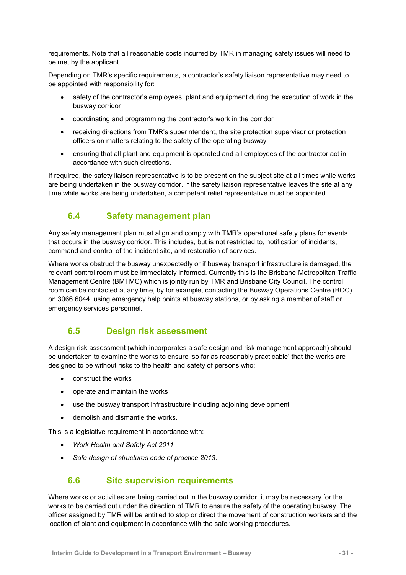requirements. Note that all reasonable costs incurred by TMR in managing safety issues will need to be met by the applicant.

Depending on TMR's specific requirements, a contractor's safety liaison representative may need to be appointed with responsibility for:

- safety of the contractor's employees, plant and equipment during the execution of work in the busway corridor
- coordinating and programming the contractor's work in the corridor
- receiving directions from TMR's superintendent, the site protection supervisor or protection officers on matters relating to the safety of the operating busway
- ensuring that all plant and equipment is operated and all employees of the contractor act in accordance with such directions.

If required, the safety liaison representative is to be present on the subject site at all times while works are being undertaken in the busway corridor. If the safety liaison representative leaves the site at any time while works are being undertaken, a competent relief representative must be appointed.

## <span id="page-34-0"></span>**6.4 Safety management plan**

Any safety management plan must align and comply with TMR's operational safety plans for events that occurs in the busway corridor. This includes, but is not restricted to, notification of incidents, command and control of the incident site, and restoration of services.

Where works obstruct the busway unexpectedly or if busway transport infrastructure is damaged, the relevant control room must be immediately informed. Currently this is the Brisbane Metropolitan Traffic Management Centre (BMTMC) which is jointly run by TMR and Brisbane City Council. The control room can be contacted at any time, by for example, contacting the Busway Operations Centre (BOC) on 3066 6044, using emergency help points at busway stations, or by asking a member of staff or emergency services personnel.

## <span id="page-34-1"></span>**6.5 Design risk assessment**

A design risk assessment (which incorporates a safe design and risk management approach) should be undertaken to examine the works to ensure 'so far as reasonably practicable' that the works are designed to be without risks to the health and safety of persons who:

- construct the works
- operate and maintain the works
- use the busway transport infrastructure including adjoining development
- demolish and dismantle the works.

This is a legislative requirement in accordance with:

- *Work Health and Safety Act 2011*
- <span id="page-34-2"></span>*Safe design of structures code of practice 2013*.

## **6.6 Site supervision requirements**

Where works or activities are being carried out in the busway corridor, it may be necessary for the works to be carried out under the direction of TMR to ensure the safety of the operating busway. The officer assigned by TMR will be entitled to stop or direct the movement of construction workers and the location of plant and equipment in accordance with the safe working procedures.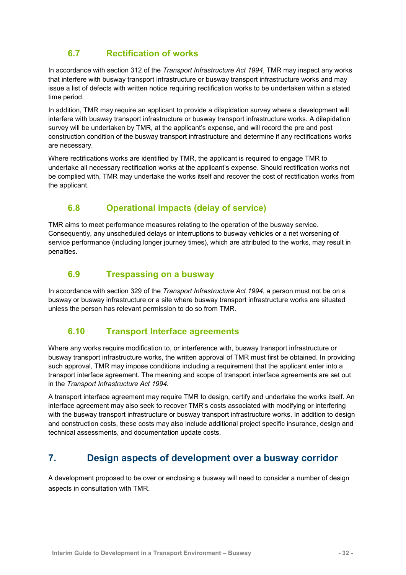## **6.7 Rectification of works**

<span id="page-35-0"></span>In accordance with section 312 of the *Transport Infrastructure Act 1994*, TMR may inspect any works that interfere with busway transport infrastructure or busway transport infrastructure works and may issue a list of defects with written notice requiring rectification works to be undertaken within a stated time period.

In addition, TMR may require an applicant to provide a dilapidation survey where a development will interfere with busway transport infrastructure or busway transport infrastructure works. A dilapidation survey will be undertaken by TMR, at the applicant's expense, and will record the pre and post construction condition of the busway transport infrastructure and determine if any rectifications works are necessary.

Where rectifications works are identified by TMR, the applicant is required to engage TMR to undertake all necessary rectification works at the applicant's expense. Should rectification works not be complied with, TMR may undertake the works itself and recover the cost of rectification works from the applicant.

## <span id="page-35-1"></span>**6.8 Operational impacts (delay of service)**

TMR aims to meet performance measures relating to the operation of the busway service. Consequently, any unscheduled delays or interruptions to busway vehicles or a net worsening of service performance (including longer journey times), which are attributed to the works, may result in penalties.

## <span id="page-35-2"></span>**6.9 Trespassing on a busway**

In accordance with section 329 of the *Transport Infrastructure Act 1994*, a person must not be on a busway or busway infrastructure or a site where busway transport infrastructure works are situated unless the person has relevant permission to do so from TMR.

## <span id="page-35-3"></span>**6.10 Transport Interface agreements**

Where any works require modification to, or interference with, busway transport infrastructure or busway transport infrastructure works, the written approval of TMR must first be obtained. In providing such approval, TMR may impose conditions including a requirement that the applicant enter into a transport interface agreement. The meaning and scope of transport interface agreements are set out in the *Transport Infrastructure Act 1994.*

A transport interface agreement may require TMR to design, certify and undertake the works itself. An interface agreement may also seek to recover TMR's costs associated with modifying or interfering with the busway transport infrastructure or busway transport infrastructure works. In addition to design and construction costs, these costs may also include additional project specific insurance, design and technical assessments, and documentation update costs.

## <span id="page-35-4"></span>**7. Design aspects of development over a busway corridor**

A development proposed to be over or enclosing a busway will need to consider a number of design aspects in consultation with TMR.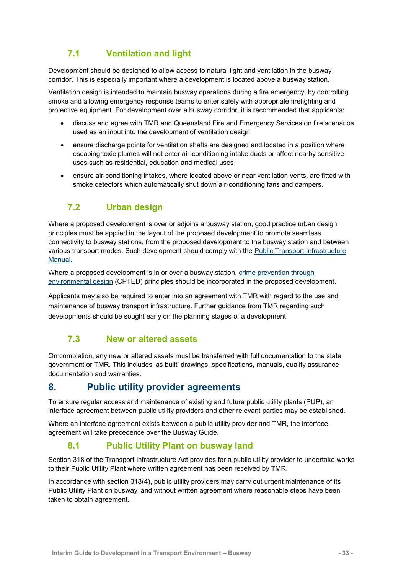## **7.1 Ventilation and light**

<span id="page-36-0"></span>Development should be designed to allow access to natural light and ventilation in the busway corridor. This is especially important where a development is located above a busway station.

Ventilation design is intended to maintain busway operations during a fire emergency, by controlling smoke and allowing emergency response teams to enter safely with appropriate firefighting and protective equipment. For development over a busway corridor, it is recommended that applicants:

- discuss and agree with TMR and Queensland Fire and Emergency Services on fire scenarios used as an input into the development of ventilation design
- ensure discharge points for ventilation shafts are designed and located in a position where escaping toxic plumes will not enter air-conditioning intake ducts or affect nearby sensitive uses such as residential, education and medical uses
- ensure air-conditioning intakes, where located above or near ventilation vents, are fitted with smoke detectors which automatically shut down air-conditioning fans and dampers.

## <span id="page-36-1"></span>**7.2 Urban design**

Where a proposed development is over or adjoins a busway station, good practice urban design principles must be applied in the layout of the proposed development to promote seamless connectivity to busway stations, from the proposed development to the busway station and between various transport modes. Such development should comply with the [Public Transport Infrastructure](https://publications.qld.gov.au/dataset/public-transport-infrastructure-manual)  [Manual.](https://publications.qld.gov.au/dataset/public-transport-infrastructure-manual)

Where a proposed development is in or over a busway station, [crime prevention through](http://www.police.qld.gov.au/programs/cscp/safetypublic/)  [environmental design](http://www.police.qld.gov.au/programs/cscp/safetypublic/) (CPTED) principles should be incorporated in the proposed development.

Applicants may also be required to enter into an agreement with TMR with regard to the use and maintenance of busway transport infrastructure. Further guidance from TMR regarding such developments should be sought early on the planning stages of a development.

## <span id="page-36-2"></span>**7.3 New or altered assets**

On completion, any new or altered assets must be transferred with full documentation to the state government or TMR. This includes 'as built' drawings, specifications, manuals, quality assurance documentation and warranties.

## <span id="page-36-3"></span>**8. Public utility provider agreements**

To ensure regular access and maintenance of existing and future public utility plants (PUP), an interface agreement between public utility providers and other relevant parties may be established.

Where an interface agreement exists between a public utility provider and TMR, the interface agreement will take precedence over the Busway Guide.

## **8.1 Public Utility Plant on busway land**

<span id="page-36-4"></span>Section 318 of the Transport Infrastructure Act provides for a public utility provider to undertake works to their Public Utility Plant where written agreement has been received by TMR.

In accordance with section 318(4), public utility providers may carry out urgent maintenance of its Public Utility Plant on busway land without written agreement where reasonable steps have been taken to obtain agreement.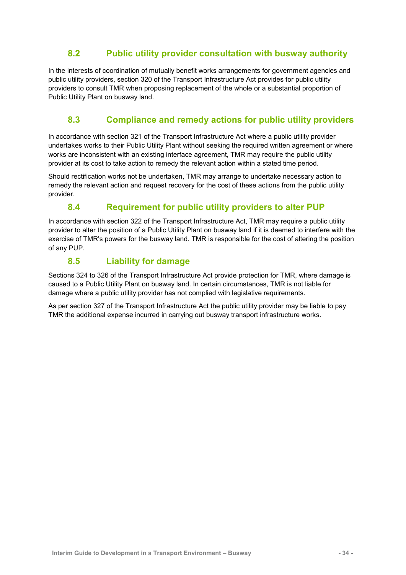## **8.2 Public utility provider consultation with busway authority**

<span id="page-37-0"></span>In the interests of coordination of mutually benefit works arrangements for government agencies and public utility providers, section 320 of the Transport Infrastructure Act provides for public utility providers to consult TMR when proposing replacement of the whole or a substantial proportion of Public Utility Plant on busway land.

## <span id="page-37-1"></span>**8.3 Compliance and remedy actions for public utility providers**

In accordance with section 321 of the Transport Infrastructure Act where a public utility provider undertakes works to their Public Utility Plant without seeking the required written agreement or where works are inconsistent with an existing interface agreement, TMR may require the public utility provider at its cost to take action to remedy the relevant action within a stated time period.

Should rectification works not be undertaken, TMR may arrange to undertake necessary action to remedy the relevant action and request recovery for the cost of these actions from the public utility provider.

## **8.4 Requirement for public utility providers to alter PUP**

<span id="page-37-2"></span>In accordance with section 322 of the Transport Infrastructure Act, TMR may require a public utility provider to alter the position of a Public Utility Plant on busway land if it is deemed to interfere with the exercise of TMR's powers for the busway land. TMR is responsible for the cost of altering the position of any PUP.

## **8.5 Liability for damage**

<span id="page-37-3"></span>Sections 324 to 326 of the Transport Infrastructure Act provide protection for TMR, where damage is caused to a Public Utility Plant on busway land. In certain circumstances, TMR is not liable for damage where a public utility provider has not complied with legislative requirements.

As per section 327 of the Transport Infrastructure Act the public utility provider may be liable to pay TMR the additional expense incurred in carrying out busway transport infrastructure works.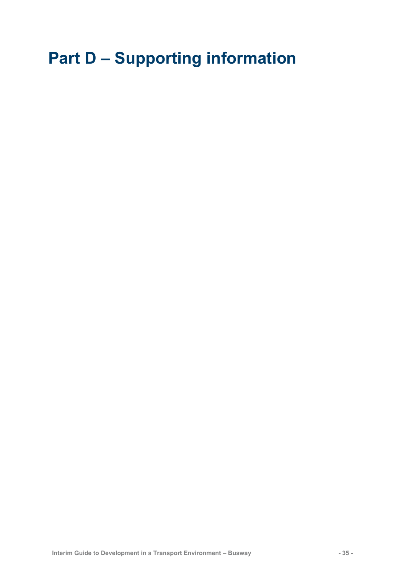# <span id="page-38-0"></span>**Part D – Supporting information**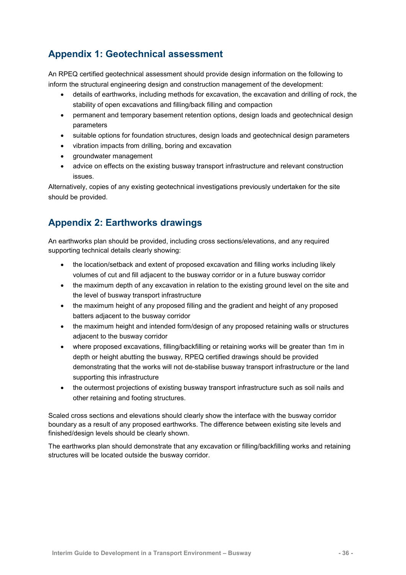## <span id="page-39-0"></span>**Appendix 1: Geotechnical assessment**

An RPEQ certified geotechnical assessment should provide design information on the following to inform the structural engineering design and construction management of the development:

- details of earthworks, including methods for excavation, the excavation and drilling of rock, the stability of open excavations and filling/back filling and compaction
- permanent and temporary basement retention options, design loads and geotechnical design parameters
- suitable options for foundation structures, design loads and geotechnical design parameters
- vibration impacts from drilling, boring and excavation
- groundwater management
- advice on effects on the existing busway transport infrastructure and relevant construction issues.

Alternatively, copies of any existing geotechnical investigations previously undertaken for the site should be provided.

## <span id="page-39-1"></span>**Appendix 2: Earthworks drawings**

An earthworks plan should be provided, including cross sections/elevations, and any required supporting technical details clearly showing:

- the location/setback and extent of proposed excavation and filling works including likely volumes of cut and fill adjacent to the busway corridor or in a future busway corridor
- the maximum depth of any excavation in relation to the existing ground level on the site and the level of busway transport infrastructure
- the maximum height of any proposed filling and the gradient and height of any proposed batters adjacent to the busway corridor
- the maximum height and intended form/design of any proposed retaining walls or structures adjacent to the busway corridor
- where proposed excavations, filling/backfilling or retaining works will be greater than 1m in depth or height abutting the busway, RPEQ certified drawings should be provided demonstrating that the works will not de-stabilise busway transport infrastructure or the land supporting this infrastructure
- the outermost projections of existing busway transport infrastructure such as soil nails and other retaining and footing structures.

Scaled cross sections and elevations should clearly show the interface with the busway corridor boundary as a result of any proposed earthworks. The difference between existing site levels and finished/design levels should be clearly shown.

The earthworks plan should demonstrate that any excavation or filling/backfilling works and retaining structures will be located outside the busway corridor.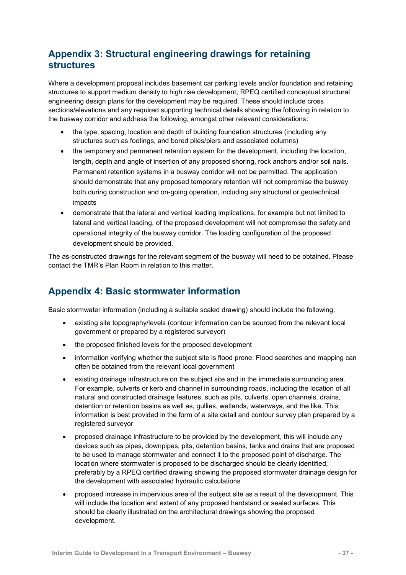## <span id="page-40-0"></span>**Appendix 3: Structural engineering drawings for retaining structures**

Where a development proposal includes basement car parking levels and/or foundation and retaining structures to support medium density to high rise development, RPEQ certified conceptual structural engineering design plans for the development may be required. These should include cross sections/elevations and any required supporting technical details showing the following in relation to the busway corridor and address the following, amongst other relevant considerations:

- the type, spacing, location and depth of building foundation structures (including any structures such as footings, and bored piles/piers and associated columns)
- the temporary and permanent retention system for the development, including the location, length, depth and angle of insertion of any proposed shoring, rock anchors and/or soil nails. Permanent retention systems in a busway corridor will not be permitted. The application should demonstrate that any proposed temporary retention will not compromise the busway both during construction and on-going operation, including any structural or geotechnical impacts
- demonstrate that the lateral and vertical loading implications, for example but not limited to lateral and vertical loading, of the proposed development will not compromise the safety and operational integrity of the busway corridor. The loading configuration of the proposed development should be provided.

The as-constructed drawings for the relevant segment of the busway will need to be obtained. Please contact the TMR's Plan Room in relation to this matter.

## <span id="page-40-1"></span>**Appendix 4: Basic stormwater information**

Basic stormwater information (including a suitable scaled drawing) should include the following:

- existing site topography/levels (contour information can be sourced from the relevant local government or prepared by a registered surveyor)
- the proposed finished levels for the proposed development
- information verifying whether the subject site is flood prone. Flood searches and mapping can often be obtained from the relevant local government
- existing drainage infrastructure on the subject site and in the immediate surrounding area. For example, culverts or kerb and channel in surrounding roads, including the location of all natural and constructed drainage features, such as pits, culverts, open channels, drains, detention or retention basins as well as, gullies, wetlands, waterways, and the like. This information is best provided in the form of a site detail and contour survey plan prepared by a registered surveyor
- proposed drainage infrastructure to be provided by the development, this will include any devices such as pipes, downpipes, pits, detention basins, tanks and drains that are proposed to be used to manage stormwater and connect it to the proposed point of discharge. The location where stormwater is proposed to be discharged should be clearly identified, preferably by a RPEQ certified drawing showing the proposed stormwater drainage design for the development with associated hydraulic calculations
- proposed increase in impervious area of the subject site as a result of the development. This will include the location and extent of any proposed hardstand or sealed surfaces. This should be clearly illustrated on the architectural drawings showing the proposed development.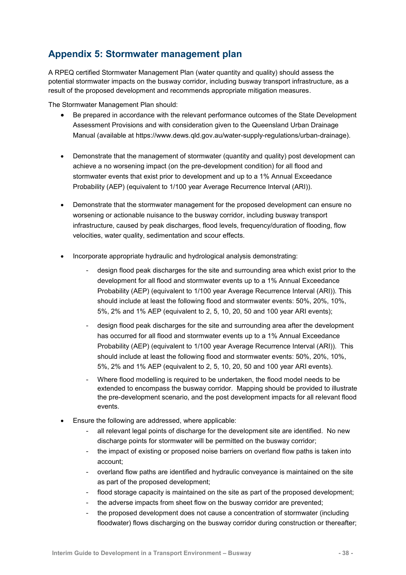## <span id="page-41-0"></span>**Appendix 5: Stormwater management plan**

A RPEQ certified Stormwater Management Plan (water quantity and quality) should assess the potential stormwater impacts on the busway corridor, including busway transport infrastructure, as a result of the proposed development and recommends appropriate mitigation measures.

The Stormwater Management Plan should:

- Be prepared in accordance with the relevant performance outcomes of the State Development Assessment Provisions and with consideration given to the Queensland Urban Drainage Manual (available at [https://www.dews.qld.gov.au/water-supply-regulations/urban-drainage\)](https://www.dews.qld.gov.au/water-supply-regulations/urban-drainage).
- Demonstrate that the management of stormwater (quantity and quality) post development can achieve a no worsening impact (on the pre-development condition) for all flood and stormwater events that exist prior to development and up to a 1% Annual Exceedance Probability (AEP) (equivalent to 1/100 year Average Recurrence Interval (ARI)).
- Demonstrate that the stormwater management for the proposed development can ensure no worsening or actionable nuisance to the busway corridor, including busway transport infrastructure, caused by peak discharges, flood levels, frequency/duration of flooding, flow velocities, water quality, sedimentation and scour effects.
- Incorporate appropriate hydraulic and hydrological analysis demonstrating:
	- design flood peak discharges for the site and surrounding area which exist prior to the development for all flood and stormwater events up to a 1% Annual Exceedance Probability (AEP) (equivalent to 1/100 year Average Recurrence Interval (ARI)). This should include at least the following flood and stormwater events: 50%, 20%, 10%, 5%, 2% and 1% AEP (equivalent to 2, 5, 10, 20, 50 and 100 year ARI events);
	- design flood peak discharges for the site and surrounding area after the development has occurred for all flood and stormwater events up to a 1% Annual Exceedance Probability (AEP) (equivalent to 1/100 year Average Recurrence Interval (ARI)). This should include at least the following flood and stormwater events: 50%, 20%, 10%, 5%, 2% and 1% AEP (equivalent to 2, 5, 10, 20, 50 and 100 year ARI events).
	- Where flood modelling is required to be undertaken, the flood model needs to be extended to encompass the busway corridor. Mapping should be provided to illustrate the pre-development scenario, and the post development impacts for all relevant flood events.
- Ensure the following are addressed, where applicable:
	- all relevant legal points of discharge for the development site are identified. No new discharge points for stormwater will be permitted on the busway corridor;
	- the impact of existing or proposed noise barriers on overland flow paths is taken into account;
	- overland flow paths are identified and hydraulic conveyance is maintained on the site as part of the proposed development;
	- flood storage capacity is maintained on the site as part of the proposed development;
	- the adverse impacts from sheet flow on the busway corridor are prevented:
	- the proposed development does not cause a concentration of stormwater (including floodwater) flows discharging on the busway corridor during construction or thereafter;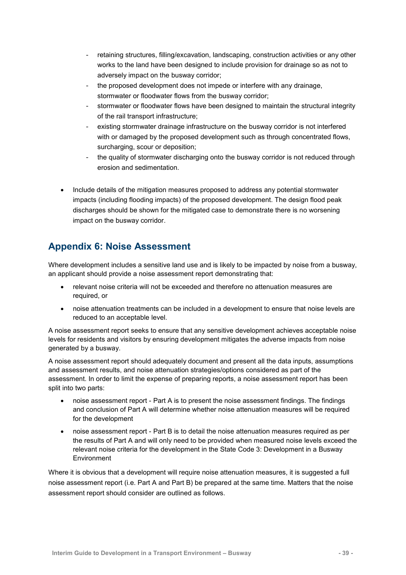- retaining structures, filling/excavation, landscaping, construction activities or any other works to the land have been designed to include provision for drainage so as not to adversely impact on the busway corridor;
- the proposed development does not impede or interfere with any drainage, stormwater or floodwater flows from the busway corridor;
- stormwater or floodwater flows have been designed to maintain the structural integrity of the rail transport infrastructure;
- existing stormwater drainage infrastructure on the busway corridor is not interfered with or damaged by the proposed development such as through concentrated flows, surcharging, scour or deposition;
- the quality of stormwater discharging onto the busway corridor is not reduced through erosion and sedimentation.
- Include details of the mitigation measures proposed to address any potential stormwater impacts (including flooding impacts) of the proposed development. The design flood peak discharges should be shown for the mitigated case to demonstrate there is no worsening impact on the busway corridor.

## <span id="page-42-0"></span>**Appendix 6: Noise Assessment**

Where development includes a sensitive land use and is likely to be impacted by noise from a busway, an applicant should provide a noise assessment report demonstrating that:

- relevant noise criteria will not be exceeded and therefore no attenuation measures are required, or
- noise attenuation treatments can be included in a development to ensure that noise levels are reduced to an acceptable level.

A noise assessment report seeks to ensure that any sensitive development achieves acceptable noise levels for residents and visitors by ensuring development mitigates the adverse impacts from noise generated by a busway.

A noise assessment report should adequately document and present all the data inputs, assumptions and assessment results, and noise attenuation strategies/options considered as part of the assessment. In order to limit the expense of preparing reports, a noise assessment report has been split into two parts:

- noise assessment report Part A is to present the noise assessment findings. The findings and conclusion of Part A will determine whether noise attenuation measures will be required for the development
- noise assessment report Part B is to detail the noise attenuation measures required as per the results of Part A and will only need to be provided when measured noise levels exceed the relevant noise criteria for the development in the State Code 3: Development in a Busway Environment

Where it is obvious that a development will require noise attenuation measures, it is suggested a full noise assessment report (i.e. Part A and Part B) be prepared at the same time. Matters that the noise assessment report should consider are outlined as follows.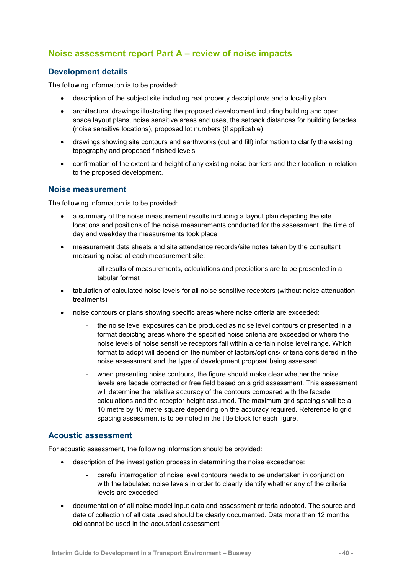## <span id="page-43-0"></span>**Noise assessment report Part A – review of noise impacts**

#### **Development details**

The following information is to be provided:

- description of the subject site including real property description/s and a locality plan
- architectural drawings illustrating the proposed development including building and open space layout plans, noise sensitive areas and uses, the setback distances for building facades (noise sensitive locations), proposed lot numbers (if applicable)
- drawings showing site contours and earthworks (cut and fill) information to clarify the existing topography and proposed finished levels
- confirmation of the extent and height of any existing noise barriers and their location in relation to the proposed development.

#### **Noise measurement**

The following information is to be provided:

- a summary of the noise measurement results including a layout plan depicting the site locations and positions of the noise measurements conducted for the assessment, the time of day and weekday the measurements took place
- measurement data sheets and site attendance records/site notes taken by the consultant measuring noise at each measurement site:
	- all results of measurements, calculations and predictions are to be presented in a tabular format
- tabulation of calculated noise levels for all noise sensitive receptors (without noise attenuation treatments)
- noise contours or plans showing specific areas where noise criteria are exceeded:
	- the noise level exposures can be produced as noise level contours or presented in a format depicting areas where the specified noise criteria are exceeded or where the noise levels of noise sensitive receptors fall within a certain noise level range. Which format to adopt will depend on the number of factors/options/ criteria considered in the noise assessment and the type of development proposal being assessed
	- when presenting noise contours, the figure should make clear whether the noise levels are facade corrected or free field based on a grid assessment. This assessment will determine the relative accuracy of the contours compared with the facade calculations and the receptor height assumed. The maximum grid spacing shall be a 10 metre by 10 metre square depending on the accuracy required. Reference to grid spacing assessment is to be noted in the title block for each figure.

#### **Acoustic assessment**

For acoustic assessment, the following information should be provided:

- description of the investigation process in determining the noise exceedance:
	- careful interrogation of noise level contours needs to be undertaken in conjunction with the tabulated noise levels in order to clearly identify whether any of the criteria levels are exceeded
- documentation of all noise model input data and assessment criteria adopted. The source and date of collection of all data used should be clearly documented. Data more than 12 months old cannot be used in the acoustical assessment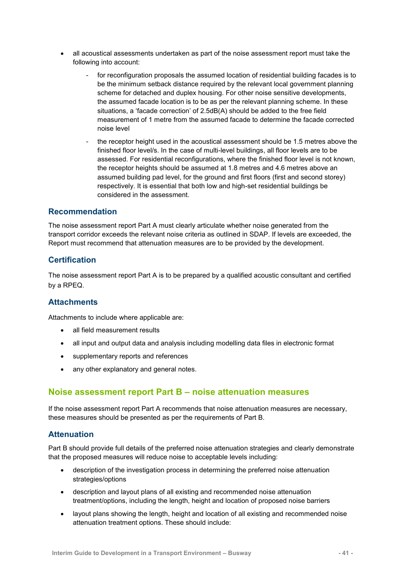- all acoustical assessments undertaken as part of the noise assessment report must take the following into account:
	- for reconfiguration proposals the assumed location of residential building facades is to be the minimum setback distance required by the relevant local government planning scheme for detached and duplex housing. For other noise sensitive developments, the assumed facade location is to be as per the relevant planning scheme. In these situations, a 'facade correction' of 2.5dB(A) should be added to the free field measurement of 1 metre from the assumed facade to determine the facade corrected noise level
	- the receptor height used in the acoustical assessment should be 1.5 metres above the finished floor level/s. In the case of multi-level buildings, all floor levels are to be assessed. For residential reconfigurations, where the finished floor level is not known, the receptor heights should be assumed at 1.8 metres and 4.6 metres above an assumed building pad level, for the ground and first floors (first and second storey) respectively. It is essential that both low and high-set residential buildings be considered in the assessment.

#### **Recommendation**

The noise assessment report Part A must clearly articulate whether noise generated from the transport corridor exceeds the relevant noise criteria as outlined in SDAP. If levels are exceeded, the Report must recommend that attenuation measures are to be provided by the development.

#### **Certification**

The noise assessment report Part A is to be prepared by a qualified acoustic consultant and certified by a RPEQ.

#### **Attachments**

Attachments to include where applicable are:

- all field measurement results
- all input and output data and analysis including modelling data files in electronic format
- supplementary reports and references
- any other explanatory and general notes.

#### <span id="page-44-0"></span>**Noise assessment report Part B – noise attenuation measures**

If the noise assessment report Part A recommends that noise attenuation measures are necessary, these measures should be presented as per the requirements of Part B.

#### **Attenuation**

Part B should provide full details of the preferred noise attenuation strategies and clearly demonstrate that the proposed measures will reduce noise to acceptable levels including:

- description of the investigation process in determining the preferred noise attenuation strategies/options
- description and layout plans of all existing and recommended noise attenuation treatment/options, including the length, height and location of proposed noise barriers
- layout plans showing the length, height and location of all existing and recommended noise attenuation treatment options. These should include: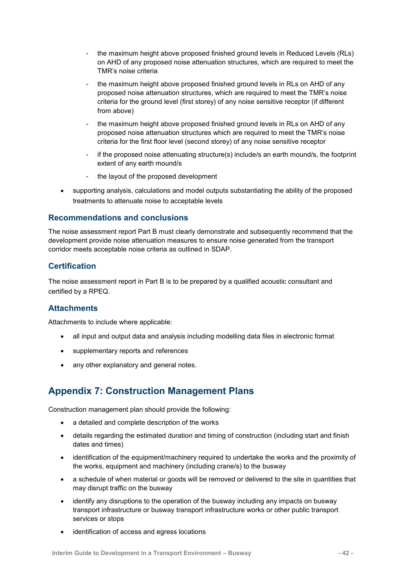- the maximum height above proposed finished ground levels in Reduced Levels (RLs) on AHD of any proposed noise attenuation structures, which are required to meet the TMR's noise criteria
- the maximum height above proposed finished ground levels in RLs on AHD of any proposed noise attenuation structures, which are required to meet the TMR's noise criteria for the ground level (first storey) of any noise sensitive receptor (if different from above)
- the maximum height above proposed finished ground levels in RLs on AHD of any proposed noise attenuation structures which are required to meet the TMR's noise criteria for the first floor level (second storey) of any noise sensitive receptor
- if the proposed noise attenuating structure(s) include/s an earth mound/s, the footprint extent of any earth mound/s
- the layout of the proposed development
- supporting analysis, calculations and model outputs substantiating the ability of the proposed treatments to attenuate noise to acceptable levels

#### **Recommendations and conclusions**

The noise assessment report Part B must clearly demonstrate and subsequently recommend that the development provide noise attenuation measures to ensure noise generated from the transport corridor meets acceptable noise criteria as outlined in SDAP.

## **Certification**

The noise assessment report in Part B is to be prepared by a qualified acoustic consultant and certified by a RPEQ.

#### **Attachments**

Attachments to include where applicable:

- all input and output data and analysis including modelling data files in electronic format
- supplementary reports and references
- any other explanatory and general notes.

## <span id="page-45-0"></span>**Appendix 7: Construction Management Plans**

Construction management plan should provide the following:

- a detailed and complete description of the works
- details regarding the estimated duration and timing of construction (including start and finish dates and times)
- identification of the equipment/machinery required to undertake the works and the proximity of the works, equipment and machinery (including crane/s) to the busway
- a schedule of when material or goods will be removed or delivered to the site in quantities that may disrupt traffic on the busway
- identify any disruptions to the operation of the busway including any impacts on busway transport infrastructure or busway transport infrastructure works or other public transport services or stops
- identification of access and egress locations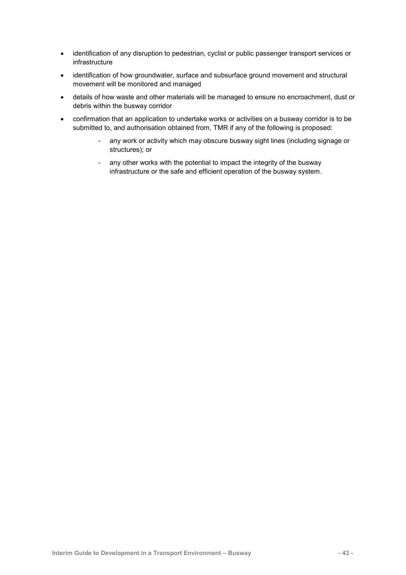- identification of any disruption to pedestrian, cyclist or public passenger transport services or infrastructure
- identification of how groundwater, surface and subsurface ground movement and structural movement will be monitored and managed
- details of how waste and other materials will be managed to ensure no encroachment, dust or debris within the busway corridor
- confirmation that an application to undertake works or activities on a busway corridor is to be submitted to, and authorisation obtained from, TMR if any of the following is proposed:
	- any work or activity which may obscure busway sight lines (including signage or structures); or
	- any other works with the potential to impact the integrity of the busway infrastructure or the safe and efficient operation of the busway system.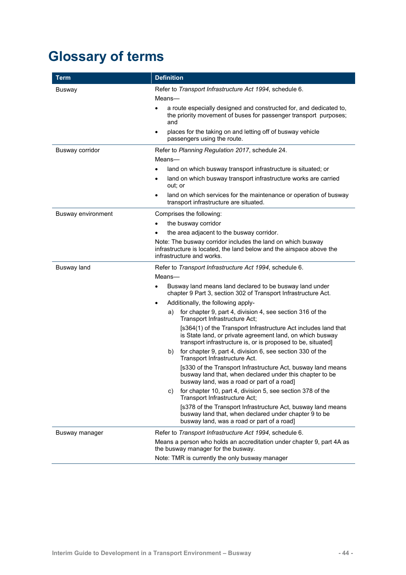# <span id="page-47-0"></span>**Glossary of terms**

| <b>Term</b>        | <b>Definition</b>                                                                                                                                                                                                                                                                                                            |  |  |  |
|--------------------|------------------------------------------------------------------------------------------------------------------------------------------------------------------------------------------------------------------------------------------------------------------------------------------------------------------------------|--|--|--|
| Busway             | Refer to Transport Infrastructure Act 1994, schedule 6.<br>Means-<br>a route especially designed and constructed for, and dedicated to,<br>the priority movement of buses for passenger transport purposes;<br>and<br>places for the taking on and letting off of busway vehicle<br>$\bullet$<br>passengers using the route. |  |  |  |
| Busway corridor    | Refer to Planning Regulation 2017, schedule 24.                                                                                                                                                                                                                                                                              |  |  |  |
|                    | Means-                                                                                                                                                                                                                                                                                                                       |  |  |  |
|                    | land on which busway transport infrastructure is situated; or                                                                                                                                                                                                                                                                |  |  |  |
|                    | land on which busway transport infrastructure works are carried<br>$\bullet$<br>out; or                                                                                                                                                                                                                                      |  |  |  |
|                    | land on which services for the maintenance or operation of busway<br>$\bullet$<br>transport infrastructure are situated.                                                                                                                                                                                                     |  |  |  |
| Busway environment | Comprises the following:                                                                                                                                                                                                                                                                                                     |  |  |  |
|                    | the busway corridor                                                                                                                                                                                                                                                                                                          |  |  |  |
|                    | the area adjacent to the busway corridor.                                                                                                                                                                                                                                                                                    |  |  |  |
|                    | Note: The busway corridor includes the land on which busway<br>infrastructure is located, the land below and the airspace above the<br>infrastructure and works.                                                                                                                                                             |  |  |  |
| Busway land        | Refer to Transport Infrastructure Act 1994, schedule 6.                                                                                                                                                                                                                                                                      |  |  |  |
|                    | Means-                                                                                                                                                                                                                                                                                                                       |  |  |  |
|                    | Busway land means land declared to be busway land under<br>$\bullet$<br>chapter 9 Part 3, section 302 of Transport Infrastructure Act.                                                                                                                                                                                       |  |  |  |
|                    | Additionally, the following apply-<br>$\bullet$                                                                                                                                                                                                                                                                              |  |  |  |
|                    | for chapter 9, part 4, division 4, see section 316 of the<br>a)<br>Transport Infrastructure Act;                                                                                                                                                                                                                             |  |  |  |
|                    | [s364(1) of the Transport Infrastructure Act includes land that<br>is State land, or private agreement land, on which busway<br>transport infrastructure is, or is proposed to be, situated]                                                                                                                                 |  |  |  |
|                    | for chapter 9, part 4, division 6, see section 330 of the<br>b)<br>Transport Infrastructure Act.                                                                                                                                                                                                                             |  |  |  |
|                    | [s330 of the Transport Infrastructure Act, busway land means<br>busway land that, when declared under this chapter to be<br>busway land, was a road or part of a road]                                                                                                                                                       |  |  |  |
|                    | for chapter 10, part 4, division 5, see section 378 of the<br>C)<br>Transport Infrastructure Act;                                                                                                                                                                                                                            |  |  |  |
|                    | [s378 of the Transport Infrastructure Act, busway land means<br>busway land that, when declared under chapter 9 to be<br>busway land, was a road or part of a road]                                                                                                                                                          |  |  |  |
| Busway manager     | Refer to Transport Infrastructure Act 1994, schedule 6.                                                                                                                                                                                                                                                                      |  |  |  |
|                    | Means a person who holds an accreditation under chapter 9, part 4A as<br>the busway manager for the busway.                                                                                                                                                                                                                  |  |  |  |
|                    | Note: TMR is currently the only busway manager                                                                                                                                                                                                                                                                               |  |  |  |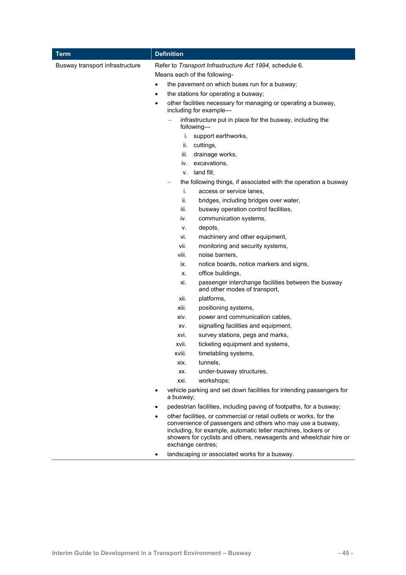| Term                            | <b>Definition</b>      |                                                                                                                                                                                                                                                                                               |  |  |
|---------------------------------|------------------------|-----------------------------------------------------------------------------------------------------------------------------------------------------------------------------------------------------------------------------------------------------------------------------------------------|--|--|
| Busway transport infrastructure |                        | Refer to Transport Infrastructure Act 1994, schedule 6.<br>Means each of the following-<br>the pavement on which buses run for a busway;                                                                                                                                                      |  |  |
|                                 | $\bullet$<br>$\bullet$ | the stations for operating a busway;<br>other facilities necessary for managing or operating a busway,<br>including for example-                                                                                                                                                              |  |  |
|                                 |                        | infrastructure put in place for the busway, including the<br>following-                                                                                                                                                                                                                       |  |  |
|                                 |                        | i. support earthworks,                                                                                                                                                                                                                                                                        |  |  |
|                                 | II.<br>Ш.              | cuttings,<br>drainage works,                                                                                                                                                                                                                                                                  |  |  |
|                                 |                        | iv. excavations,                                                                                                                                                                                                                                                                              |  |  |
|                                 | v.                     | land fill;                                                                                                                                                                                                                                                                                    |  |  |
|                                 |                        | the following things, if associated with the operation a busway                                                                                                                                                                                                                               |  |  |
|                                 | i.                     | access or service lanes.                                                                                                                                                                                                                                                                      |  |  |
|                                 | ii.                    | bridges, including bridges over water,                                                                                                                                                                                                                                                        |  |  |
|                                 | iii.                   | busway operation control facilities,                                                                                                                                                                                                                                                          |  |  |
|                                 | iv.                    | communication systems,<br>depots,                                                                                                                                                                                                                                                             |  |  |
|                                 | ۷.<br>vi.              | machinery and other equipment,                                                                                                                                                                                                                                                                |  |  |
|                                 | vii.                   | monitoring and security systems,                                                                                                                                                                                                                                                              |  |  |
|                                 | viii.                  | noise barriers.                                                                                                                                                                                                                                                                               |  |  |
|                                 | ix.                    | notice boards, notice markers and signs,                                                                                                                                                                                                                                                      |  |  |
|                                 | Х.                     | office buildings,                                                                                                                                                                                                                                                                             |  |  |
|                                 | xi.                    | passenger interchange facilities between the busway<br>and other modes of transport,                                                                                                                                                                                                          |  |  |
|                                 | xii.                   | platforms,                                                                                                                                                                                                                                                                                    |  |  |
|                                 | xiii.                  | positioning systems,                                                                                                                                                                                                                                                                          |  |  |
|                                 | xiv.                   | power and communication cables,                                                                                                                                                                                                                                                               |  |  |
|                                 | XV.                    | signalling facilities and equipment,                                                                                                                                                                                                                                                          |  |  |
|                                 | xvi.                   | survey stations, pegs and marks,                                                                                                                                                                                                                                                              |  |  |
|                                 | xvii.<br>xviii.        | ticketing equipment and systems,<br>timetabling systems,                                                                                                                                                                                                                                      |  |  |
|                                 | xix.                   | tunnels,                                                                                                                                                                                                                                                                                      |  |  |
|                                 | XX.                    | under-busway structures,                                                                                                                                                                                                                                                                      |  |  |
|                                 | xxi.                   | workshops;                                                                                                                                                                                                                                                                                    |  |  |
|                                 | a busway;              | vehicle parking and set down facilities for intending passengers for                                                                                                                                                                                                                          |  |  |
|                                 |                        | pedestrian facilities, including paving of footpaths, for a busway;                                                                                                                                                                                                                           |  |  |
|                                 | $\bullet$              | other facilities, or commercial or retail outlets or works, for the<br>convenience of passengers and others who may use a busway,<br>including, for example, automatic teller machines, lockers or<br>showers for cyclists and others, newsagents and wheelchair hire or<br>exchange centres; |  |  |
|                                 | ٠                      | landscaping or associated works for a busway.                                                                                                                                                                                                                                                 |  |  |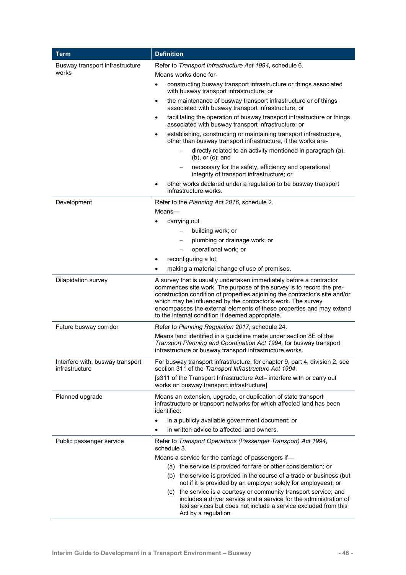| <b>Term</b>                                        | <b>Definition</b>                                                                                                                                                                                                                                                                                                                                                                                                      |  |  |
|----------------------------------------------------|------------------------------------------------------------------------------------------------------------------------------------------------------------------------------------------------------------------------------------------------------------------------------------------------------------------------------------------------------------------------------------------------------------------------|--|--|
| Busway transport infrastructure                    | Refer to Transport Infrastructure Act 1994, schedule 6.                                                                                                                                                                                                                                                                                                                                                                |  |  |
| works                                              | Means works done for-                                                                                                                                                                                                                                                                                                                                                                                                  |  |  |
|                                                    | constructing busway transport infrastructure or things associated<br>$\bullet$<br>with busway transport infrastructure; or                                                                                                                                                                                                                                                                                             |  |  |
|                                                    | the maintenance of busway transport infrastructure or of things<br>$\bullet$<br>associated with busway transport infrastructure; or                                                                                                                                                                                                                                                                                    |  |  |
|                                                    | facilitating the operation of busway transport infrastructure or things<br>$\bullet$<br>associated with busway transport infrastructure; or                                                                                                                                                                                                                                                                            |  |  |
|                                                    | establishing, constructing or maintaining transport infrastructure,<br>٠<br>other than busway transport infrastructure, if the works are-                                                                                                                                                                                                                                                                              |  |  |
|                                                    | directly related to an activity mentioned in paragraph (a),<br>$(b)$ , or $(c)$ ; and                                                                                                                                                                                                                                                                                                                                  |  |  |
|                                                    | necessary for the safety, efficiency and operational<br>$\qquad \qquad -$<br>integrity of transport infrastructure; or                                                                                                                                                                                                                                                                                                 |  |  |
|                                                    | other works declared under a regulation to be busway transport<br>infrastructure works.                                                                                                                                                                                                                                                                                                                                |  |  |
| Development                                        | Refer to the Planning Act 2016, schedule 2.                                                                                                                                                                                                                                                                                                                                                                            |  |  |
|                                                    | Means-                                                                                                                                                                                                                                                                                                                                                                                                                 |  |  |
|                                                    | carrying out                                                                                                                                                                                                                                                                                                                                                                                                           |  |  |
|                                                    | building work; or<br>$\qquad \qquad -$                                                                                                                                                                                                                                                                                                                                                                                 |  |  |
|                                                    | plumbing or drainage work; or<br>$\overline{\phantom{a}}$                                                                                                                                                                                                                                                                                                                                                              |  |  |
|                                                    | operational work; or                                                                                                                                                                                                                                                                                                                                                                                                   |  |  |
|                                                    | reconfiguring a lot;                                                                                                                                                                                                                                                                                                                                                                                                   |  |  |
|                                                    | making a material change of use of premises.                                                                                                                                                                                                                                                                                                                                                                           |  |  |
| Dilapidation survey                                | A survey that is usually undertaken immediately before a contractor<br>commences site work. The purpose of the survey is to record the pre-<br>construction condition of properties adjoining the contractor's site and/or<br>which may be influenced by the contractor's work. The survey<br>encompasses the external elements of these properties and may extend<br>to the internal condition if deemed appropriate. |  |  |
| Future busway corridor                             | Refer to Planning Regulation 2017, schedule 24.                                                                                                                                                                                                                                                                                                                                                                        |  |  |
|                                                    | Means land identified in a guideline made under section 8E of the<br>Transport Planning and Coordination Act 1994, for busway transport<br>infrastructure or busway transport infrastructure works.                                                                                                                                                                                                                    |  |  |
| Interfere with, busway transport<br>infrastructure | For busway transport infrastructure, for chapter 9, part 4, division 2, see<br>section 311 of the Transport Infrastructure Act 1994.                                                                                                                                                                                                                                                                                   |  |  |
|                                                    | [s311 of the Transport Infrastructure Act- interfere with or carry out<br>works on busway transport infrastructure].                                                                                                                                                                                                                                                                                                   |  |  |
| Planned upgrade                                    | Means an extension, upgrade, or duplication of state transport<br>infrastructure or transport networks for which affected land has been<br>identified:                                                                                                                                                                                                                                                                 |  |  |
|                                                    | in a publicly available government document; or                                                                                                                                                                                                                                                                                                                                                                        |  |  |
|                                                    | in written advice to affected land owners.                                                                                                                                                                                                                                                                                                                                                                             |  |  |
| Public passenger service                           | Refer to Transport Operations (Passenger Transport) Act 1994,<br>schedule 3.                                                                                                                                                                                                                                                                                                                                           |  |  |
|                                                    | Means a service for the carriage of passengers if-                                                                                                                                                                                                                                                                                                                                                                     |  |  |
|                                                    | (a) the service is provided for fare or other consideration; or                                                                                                                                                                                                                                                                                                                                                        |  |  |
|                                                    | (b) the service is provided in the course of a trade or business (but<br>not if it is provided by an employer solely for employees); or                                                                                                                                                                                                                                                                                |  |  |
|                                                    | (c) the service is a courtesy or community transport service; and<br>includes a driver service and a service for the administration of<br>taxi services but does not include a service excluded from this<br>Act by a regulation                                                                                                                                                                                       |  |  |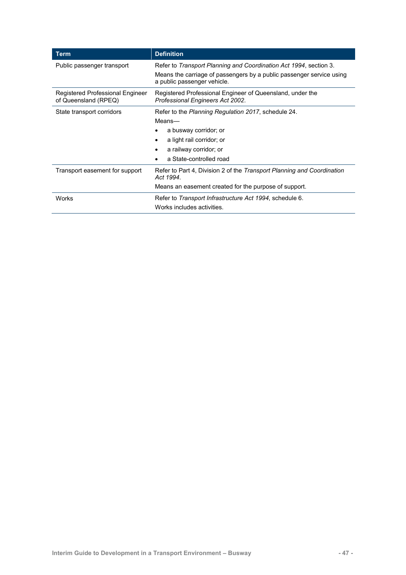| <b>Term</b>                                              | <b>Definition</b>                                                                                   |  |
|----------------------------------------------------------|-----------------------------------------------------------------------------------------------------|--|
| Public passenger transport                               | Refer to Transport Planning and Coordination Act 1994, section 3.                                   |  |
|                                                          | Means the carriage of passengers by a public passenger service using<br>a public passenger vehicle. |  |
| Registered Professional Engineer<br>of Queensland (RPEQ) | Registered Professional Engineer of Queensland, under the<br>Professional Engineers Act 2002.       |  |
| State transport corridors                                | Refer to the Planning Regulation 2017, schedule 24.                                                 |  |
|                                                          | Means-                                                                                              |  |
|                                                          | a busway corridor; or                                                                               |  |
|                                                          | a light rail corridor; or                                                                           |  |
|                                                          | a railway corridor; or                                                                              |  |
|                                                          | a State-controlled road                                                                             |  |
| Transport easement for support                           | Refer to Part 4, Division 2 of the Transport Planning and Coordination<br>Act 1994.                 |  |
|                                                          | Means an easement created for the purpose of support.                                               |  |
| <b>Works</b>                                             | Refer to Transport Infrastructure Act 1994, schedule 6.                                             |  |
|                                                          | Works includes activities.                                                                          |  |